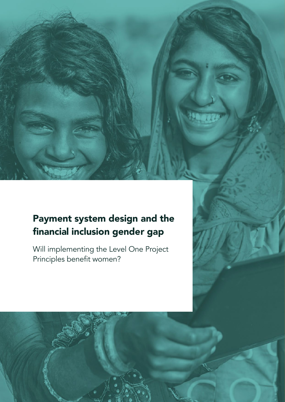# Payment system design and the financial inclusion gender gap

Will implementing the Level One Project Principles benefit women?



Payment system design and the financial inclusion gender gap 1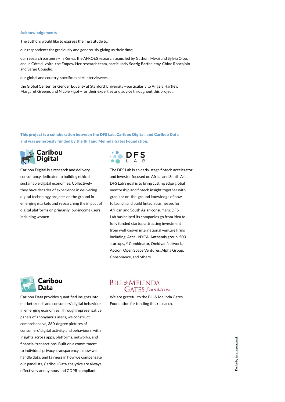#### Acknowledgements

The authors would like to express their gratitude to:

our respondents for graciously and generously giving us their time;

our research partners—in Kenya, the AFROES research team, led by Gathoni Mwai and Sylvia Oloo, and in Côte d'Ivoire, the Empow'Her research team, particularly Soazig Barthelemy, Chloe Roncajolo and Serge Couadio;

our global and country-specific expert interviewees;

the Global Center for Gender Equality at Stanford University—particularly to Angela Hartley, Margaret Greene, and Nicole Figot—for their expertise and advice throughout this project.

This project is a collaboration between the DFS Lab, Caribou Digital, and Caribou Data and was generously funded by the Bill and Melinda Gates Foundation.



Caribou Digital is a research and delivery consultancy dedicated to building ethical, sustainable digital economies. Collectively they have decades of experience in delivering digital technology projects on the ground in emerging markets and researching the impact of digital platforms on primarily low-income users, including women.



The DFS Lab is an early-stage fintech accelerator and investor focused on Africa and South Asia. DFS Lab's goal is to bring cutting edge global mentorship and fintech insight together with granular on-the-ground knowledge of how to launch and build fintech businesses for African and South Asian consumers. DFS Lab has helped its companies go from idea to fully funded startup attracting investment from well known international venture firms including: Accel, NYCA, Anthemis group, 500 startups, Y Combinator, Omidyar Network, Accion, Open Space Ventures, Alpha Group, Consonance, and others.



Caribou Data provides quantified insights into market trends and consumers' digital behaviour in emerging economies. Through representative panels of anonymous users, we construct comprehensive, 360-degree pictures of consumers' digital activity and behaviours, with insights across apps, platforms, networks, and financial transactions. Built on a commitment to individual privacy, transparency in how we handle data, and fairness in how we compensate our panelists, Caribou Data analytics are always effectively anonymous and GDPR-compliant.

### **BILL&MELINDA GATES** foundation

We are grateful to the Bill & Melinda Gates Foundation for funding this research.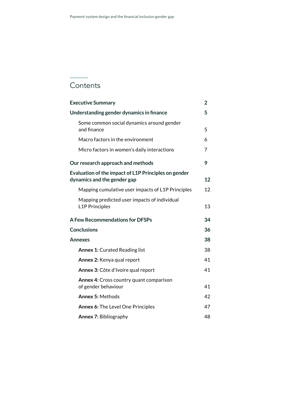# **Contents**

| <b>Executive Summary</b>                                                            | 2  |
|-------------------------------------------------------------------------------------|----|
| Understanding gender dynamics in finance                                            | 5  |
| Some common social dynamics around gender<br>and finance                            | 5  |
| Macro factors in the environment                                                    | 6  |
| Micro factors in women's daily interactions                                         | 7  |
| Our research approach and methods                                                   | 9  |
| Evaluation of the impact of L1P Principles on gender<br>dynamics and the gender gap | 12 |
| Mapping cumulative user impacts of L1P Principles                                   | 12 |
| Mapping predicted user impacts of individual<br><b>L1P Principles</b>               | 13 |
| <b>A Few Recommendations for DFSPs</b>                                              | 34 |
| <b>Conclusions</b>                                                                  | 36 |
| <b>Annexes</b>                                                                      | 38 |
| <b>Annex 1: Curated Reading list</b>                                                | 38 |
| Annex 2: Kenya qual report                                                          | 41 |
| Annex 3: Côte d'Ivoire qual report                                                  | 41 |
| <b>Annex 4:</b> Cross country quant comparison<br>of gender behaviour               | 41 |
| <b>Annex 5: Methods</b>                                                             | 42 |
| <b>Annex 6: The Level One Principles</b>                                            | 47 |
| <b>Annex 7: Bibliography</b>                                                        | 48 |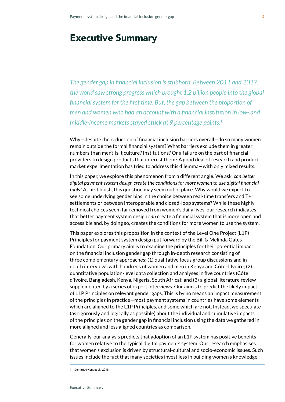# Executive Summary

*The gender gap in financial inclusion is stubborn. Between 2011 and 2017, the world saw strong progress which brought 1.2 billion people into the global financial system for the first time. But, the gap between the proportion of men and women who had an account with a financial institution in low- and middle-income markets stayed stuck at 9 percentage points.***<sup>1</sup>**

Why—despite the reduction of financial inclusion barriers overall—do so many women remain outside the formal financial system? What barriers exclude them in greater numbers than men? Is it culture? Institutions? Or a failure on the part of financial providers to design products that interest them? A good deal of research and product market experimentation has tried to address this dilemma—with only mixed results.

In this paper, we explore this phenomenon from a different angle. We ask*, can better digital payment system design create the conditions for more women to use digital financial tools?* At first blush, this question may seem out of place. Why would we expect to see some underlying gender bias in the choice between real-time transfers and T+1 settlements or between interoperable and closed-loop systems? While these highly technical choices seem far removed from women's daily lives, our research indicates that better payment system design *can* create a financial system that is more open and accessible and, by doing so, creates the conditions for more women to use the system.

This paper explores this proposition in the context of the Level One Project (L1P) Principles for payment system design put forward by the Bill & Melinda Gates Foundation. Our primary aim is to examine the principles for their potential impact on the financial inclusion gender gap through in-depth research consisting of three complementary approaches: (1) qualitative focus group discussions and indepth interviews with hundreds of women and men in Kenya and Côte d'Ivoire; (2) quantitative population-level data collection and analyses in five countries (Côte d'Ivoire, Bangladesh, Kenya, Nigeria, South Africa); and (3) a global literature review supplemented by a series of expert interviews. Our aim is to predict the likely impact of L1P Principles on relevant gender gaps. This is by no means an impact measurement of the principles in practice—most payment systems in countries have some elements which are aligned to the L1P Principles, and some which are not. Instead, we speculate (as rigorously and logically as possible) about the individual and cumulative impacts of the principles on the gender gap in financial inclusion using the data we gathered in more aligned and less aligned countries as comparison.

Generally, our analysis predicts that adoption of an L1P system has positive benefits for women relative to the typical digital payments system. Our research emphasises that women's exclusion is driven by structural-cultural and socio-economic issues. Such issues include the fact that many societies invest less in building women's knowledge

<sup>1</sup> Demirgüç-Kunt et al., 2018.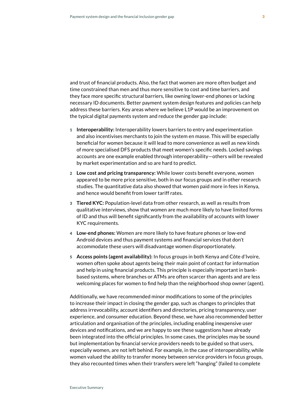and trust of financial products. Also, the fact that women are more often budget and time constrained than men and thus more sensitive to cost and time barriers, and they face more specific structural barriers, like owning lower-end phones or lacking necessary ID documents. Better payment system design features and policies can help address these barriers. Key areas where we believe L1P would be an improvement on the typical digital payments system and reduce the gender gap include:

- 1 **Interoperability:** Interoperability lowers barriers to entry and experimentation and also incentivises merchants to join the system en masse. This will be especially beneficial for women because it will lead to more convenience as well as new kinds of more specialised DFS products that meet women's specific needs. Locked savings accounts are one example enabled through interoperability—others will be revealed by market experimentation and so are hard to predict.
- 2 **Low cost and pricing transparency:** While lower costs benefit everyone, women appeared to be more price sensitive, both in our focus groups and in other research studies. The quantitative data also showed that women paid more in fees in Kenya, and hence would benefit from lower tariff rates.
- 3 **Tiered KYC:** Population-level data from other research, as well as results from qualitative interviews, show that women are much more likely to have limited forms of ID and thus will benefit significantly from the availability of accounts with lower KYC requirements.
- 4 **Low-end phones:** Women are more likely to have feature phones or low-end Android devices and thus payment systems and financial services that don't accommodate these users will disadvantage women disproportionately.
- 5 **Access points (agent availability):** In focus groups in both Kenya and Côte d'Ivoire, women often spoke about agents being their main point of contact for information and help in using financial products. This principle is especially important in bankbased systems, where branches or ATMs are often scarcer than agents and are less welcoming places for women to find help than the neighborhood shop owner (agent).

Additionally, we have recommended minor modifications to some of the principles to increase their impact in closing the gender gap, such as changes to principles that address irrevocability, account identifiers and directories, pricing transparency, user experience, and consumer education. Beyond these, we have also recommended better articulation and organisation of the principles, including enabling inexpensive user devices and notifications, and we are happy to see these suggestions have already been integrated into the official principles. In some cases, the principles may be sound but implementation by financial service providers needs to be guided so that users, especially women, are not left behind. For example, in the case of interoperability, while women valued the ability to transfer money between service providers in focus groups, they also recounted times when their transfers were left "hanging" (failed to complete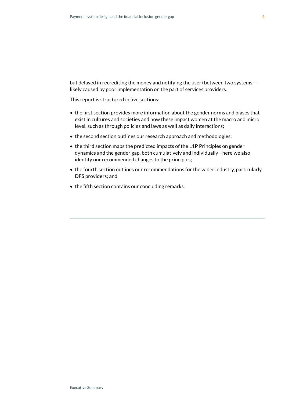but delayed in recrediting the money and notifying the user) between two systems likely caused by poor implementation on the part of services providers.

This report is structured in five sections:

- the first section provides more information about the gender norms and biases that exist in cultures and societies and how these impact women at the macro and micro level, such as through policies and laws as well as daily interactions;
- the second section outlines our research approach and methodologies;
- the third section maps the predicted impacts of the L1P Principles on gender dynamics and the gender gap, both cumulatively and individually—here we also identify our recommended changes to the principles;
- the fourth section outlines our recommendations for the wider industry, particularly DFS providers; and
- the fifth section contains our concluding remarks.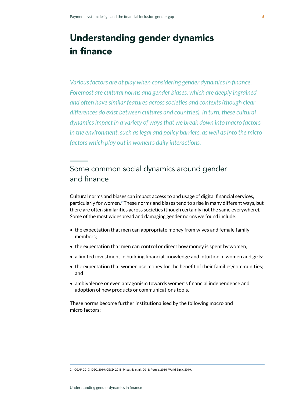# Understanding gender dynamics in finance

*Various factors are at play when considering gender dynamics in finance. Foremost are cultural norms and gender biases, which are deeply ingrained and often have similar features across societies and contexts (though clear differences do exist between cultures and countries). In turn, these cultural dynamics impact in a variety of ways that we break down into macro factors in the environment, such as legal and policy barriers, as well as into the micro factors which play out in women's daily interactions.*

# Some common social dynamics around gender and finance

Cultural norms and biases can impact access to and usage of digital financial services, particularly for women.**2** These norms and biases tend to arise in many different ways, but there are often similarities across societies (though certainly not the same everywhere). Some of the most widespread and damaging gender norms we found include:

- the expectation that men can appropriate money from wives and female family members;
- the expectation that men can control or direct how money is spent by women;
- a limited investment in building financial knowledge and intuition in women and girls;
- the expectation that women use money for the benefit of their families/communities; and
- ambivalence or even antagonism towards women's financial independence and adoption of new products or communications tools.

These norms become further institutionalised by the following macro and micro factors:

2 CGAP, 2017; IDEO, 2019; OECD, 2018; Pitcathly et al., 2016; Potnis, 2016; World Bank, 2019.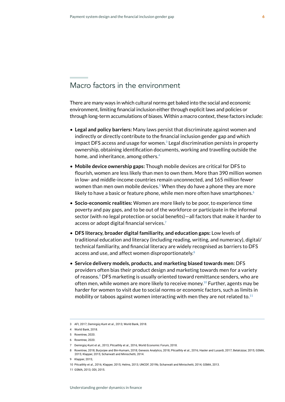# Macro factors in the environment

There are many ways in which cultural norms get baked into the social and economic environment, limiting financial inclusion either through explicit laws and policies or through long-term accumulations of biases. Within a macro context, these factors include:

- **Legal and policy barriers:** Many laws persist that discriminate against women and indirectly or directly contribute to the financial inclusion gender gap and which impact DFS access and usage for women.**3** Legal discrimination persists in property ownership, obtaining identification documents, working and travelling outside the home, and inheritance, among others.**<sup>4</sup>**
- **Mobile device ownership gaps:** Though mobile devices are critical for DFS to flourish, women are less likely than men to own them. More than 390 million women in low- and middle-income countries remain unconnected, and 165 million fewer women than men own mobile devices.**5** When they do have a phone they are more likely to have a basic or feature phone, while men more often have smartphones.**<sup>6</sup>**
- **Socio-economic realities:** Women are more likely to be poor, to experience time poverty and pay gaps, and to be out of the workforce or participate in the informal sector (with no legal protection or social benefits)—all factors that make it harder to access or adopt digital financial services.**<sup>7</sup>**
- **DFS literacy, broader digital familiarity, and education gaps:** Low levels of traditional education and literacy (including reading, writing, and numeracy), digital/ technical familiarity, and financial literacy are widely recognised as barriers to DFS access and use, and affect women disproportionately.**<sup>8</sup>**
- **Service delivery models, products, and marketing biased towards men:** DFS providers often bias their product design and marketing towards men for a variety of reasons.**9** DFS marketing is usually oriented toward remittance senders, who are often men, while women are more likely to receive money.**10** Further, agents may be harder for women to visit due to social norms or economic factors, such as limits in mobility or taboos against women interacting with men they are not related to.**<sup>11</sup>**

<sup>3</sup> AFI, 2017; Demirgüç-Kunt et al., 2013; World Bank, 2018.

<sup>4</sup> World Bank, 2018.

<sup>5</sup> Rowntree, 2020.

<sup>6</sup> Rowntree, 2020.

<sup>7</sup> Demirgüç-Kunt et al., 2013; Pitcaithly et al., 2016, World Economic Forum, 2018.

<sup>8</sup> Rowntree, 2018; Burjorjee and Bin-Humam, 2018; Genesis Analytics, 2018; Pitcaithly et al., 2016; Hasler and Lusardi, 2017; Belalcázar, 2015; GSMA, 2015; Klapper, 2015; Scharwatt and Minischetti, 2014.

<sup>9</sup> Klapper, 2015;

<sup>10</sup> Pitcaithly et al., 2016; Klapper, 2015; Helms, 2013; UNCDF, 2019b; Scharwatt and Minischetti, 2014; GSMA, 2013.

<sup>11</sup> GSMA, 2013; ODI, 2015.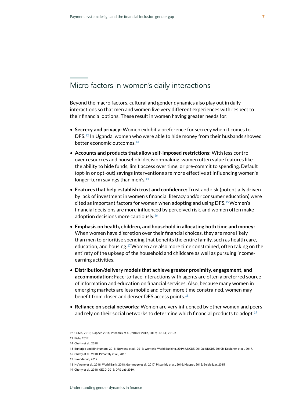# Micro factors in women's daily interactions

Beyond the macro factors, cultural and gender dynamics also play out in daily interactions so that men and women live very different experiences with respect to their financial options. These result in women having greater needs for:

- **Secrecy and privacy:** Women exhibit a preference for secrecy when it comes to DFS.**12** In Uganda, women who were able to hide money from their husbands showed better economic outcomes.**<sup>13</sup>**
- **Accounts and products that allow self-imposed restrictions:** With less control over resources and household decision-making, women often value features like the ability to hide funds, limit access over time, or pre-commit to spending. Default (opt-in or opt-out) savings interventions are more effective at influencing women's longer-term savings than men's.**<sup>14</sup>**
- **Features that help establish trust and confidence:** Trust and risk (potentially driven by lack of investment in women's financial literacy and/or consumer education) were cited as important factors for women when adopting and using DFS.**15** Women's financial decisions are more influenced by perceived risk, and women often make adoption decisions more cautiously.**<sup>16</sup>**
- **Emphasis on health, children, and household in allocating both time and money:**  When women have discretion over their financial choices, they are more likely than men to prioritise spending that benefits the entire family, such as health care, education, and housing.**17** Women are also more time constrained, often taking on the entirety of the upkeep of the household and childcare as well as pursuing incomeearning activities.
- **Distribution/delivery models that achieve greater proximity, engagement, and accommodation:** Face-to-face interactions with agents are often a preferred source of information and education on financial services. Also, because many women in emerging markets are less mobile and often more time constrained, women may benefit from closer and denser DFS access points.**<sup>18</sup>**
- **Reliance on social networks:** Women are very influenced by other women and peers and rely on their social networks to determine which financial products to adopt.**<sup>19</sup>**

<sup>12</sup> GSMA, 2013; Klapper, 2015; Pitcaithly et al., 2016; Fiorillo, 2017; UNCDF, 2019b

<sup>13</sup> Fiala, 2017.

<sup>14</sup> Chetty et al., 2018.

<sup>15</sup> Burjorjee and Bin-Humam, 2018; Ng'weno et al., 2018; Women's World Banking, 2019; UNCDF, 2019a; UNCDF, 2019b; Koblanck et al., 2017.

<sup>16</sup> Chetty et al., 2018; Pitcaithly et al., 2016.

<sup>17</sup> Iskenderian, 2017.

<sup>18</sup> Ng'weno et al., 2018; World Bank, 2018; Gammage et al., 2017; Pitcaithly et al., 2016; Klapper, 2015; Belalcázar, 2015.

<sup>19</sup> Chetty et al., 2018; OECD, 2018; DFS Lab 2019.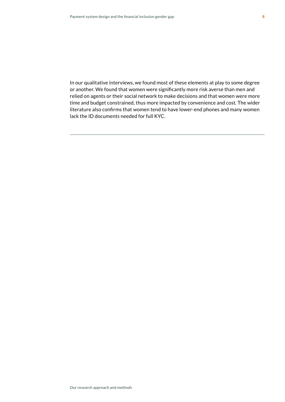In our qualitative interviews, we found most of these elements at play to some degree or another. We found that women were significantly more risk averse than men and relied on agents or their social network to make decisions and that women were more time and budget constrained, thus more impacted by convenience and cost. The wider literature also confirms that women tend to have lower-end phones and many women lack the ID documents needed for full KYC.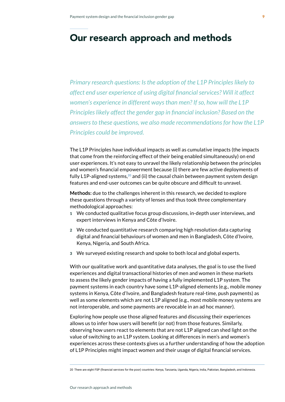# Our research approach and methods

*Primary research questions: Is the adoption of the L1P Principles likely to affect end user experience of using digital financial services? Will it affect women's experience in different ways than men? If so, how will the L1P Principles likely affect the gender gap in financial inclusion? Based on the answers to these questions, we also made recommendations for how the L1P Principles could be improved.*

The L1P Principles have individual impacts as well as cumulative impacts (the impacts that come from the reinforcing effect of their being enabled simultaneously) on end user experiences. It's not easy to unravel the likely relationship between the principles and women's financial empowerment because (i) there are few active deployments of fully L1P-aligned systems,**20** and (ii) the causal chain between payment system design features and end-user outcomes can be quite obscure and difficult to unravel.

**Methods:** due to the challenges inherent in this research, we decided to explore these questions through a variety of lenses and thus took three complementary methodological approaches:

- 1 We conducted qualitative focus group discussions, in-depth user interviews, and expert interviews in Kenya and Côte d'Ivoire.
- 2 We conducted quantitative research comparing high resolution data capturing digital and financial behaviours of women and men in Bangladesh, Côte d'Ivoire, Kenya, Nigeria, and South Africa.
- 3 We surveyed existing research and spoke to both local and global experts.

With our qualitative work and quantitative data analyses, the goal is to use the lived experiences and digital transactional histories of men and women in these markets to assess the likely gender impacts of having a fully implemented L1P system. The payment systems in each country have some L1P-aligned elements (e.g., mobile money systems in Kenya, Côte d'Ivoire, and Bangladesh feature real-time, push payments) as well as some elements which are not L1P aligned (e.g., most mobile money systems are not interoperable, and some payments are revocable in an ad hoc manner).

Exploring how people use those aligned features and discussing their experiences allows us to infer how users will benefit (or not) from those features. Similarly, observing how users react to elements that are not L1P aligned can shed light on the value of switching to an L1P system. Looking at differences in men's and women's experiences across these contexts gives us a further understanding of how the adoption of L1P Principles might impact women and their usage of digital financial services.

9

<sup>20</sup> There are eight FSP (financial services for the poor) countries: Kenya, Tanzania, Uganda, Nigeria, India, Pakistan, Bangladesh, and Indonesia.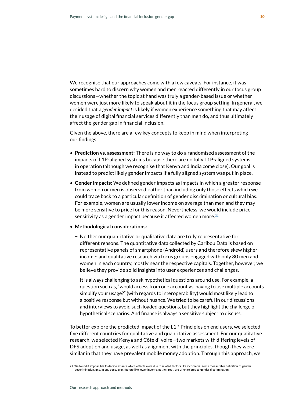We recognise that our approaches come with a few caveats. For instance, it was sometimes hard to discern why women and men reacted differently in our focus group discussions—whether the topic at hand was truly a gender-based issue or whether women were just more likely to speak about it in the focus group setting. In general, we decided that a *gender impact* is likely if women experience something that may affect their usage of digital financial services differently than men do, and thus ultimately affect the gender gap in financial inclusion.

Given the above, there are a few key concepts to keep in mind when interpreting our findings:

- **Prediction vs. assessment:** There is no way to do a randomised assessment of the impacts of L1P-aligned systems because there are no fully L1P-aligned systems in operation (although we recognise that Kenya and India come close). Our goal is instead to predict likely gender impacts if a fully aligned system was put in place.
- **Gender impacts:** We defined gender impacts as impacts in which a greater response from women or men is observed, rather than including only those effects which we could trace back to a particular definition of gender discrimination or cultural bias. For example, women are usually lower income on average than men and they may be more sensitive to price for this reason. Nevertheless, we would include price sensitivity as a gender impact because it affected women more.**<sup>21</sup>**
- **Methodological considerations:** 
	- − Neither our quantitative or qualitative data are truly representative for different reasons. The quantitative data collected by Caribou Data is based on representative panels of smartphone (Android) users and therefore skew higherincome; and qualitative research via focus groups engaged with only 80 men and women in each country, mostly near the respective capitals. Together, however, we believe they provide solid insights into user experiences and challenges.
	- − It is always challenging to ask hypothetical questions around use. For example, a question such as, "would access from one account vs. having to use multiple accounts simplify your usage?" (with regards to interoperability) would most likely lead to a positive response but without nuance. We tried to be careful in our discussions and interviews to avoid such loaded questions, but they highlight the challenge of hypothetical scenarios. And finance is always a sensitive subject to discuss.

To better explore the predicted impact of the L1P Principles on end users, we selected five different countries for qualitative and quantitative assessment. For our qualitative research, we selected Kenya and Côte d'Ivoire—two markets with differing levels of DFS adoption and usage, as well as alignment with the principles, though they were similar in that they have prevalent mobile money adoption. Through this approach, we

<sup>21</sup> We found it impossible to decide ex ante which effects were due to related factors like income vs. some measurable definition of gender descrimination, and, in any case, even factors like lower income, at their root, are often related to gender discrimination.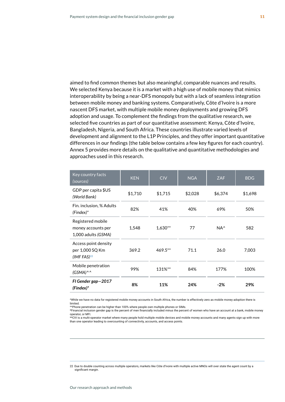aimed to find common themes but also meaningful, comparable nuances and results. We selected Kenya because it is a market with a high use of mobile money that mimics interoperability by being a near-DFS monopoly but with a lack of seamless integration between mobile money and banking systems. Comparatively, Côte d'Ivoire is a more nascent DFS market, with multiple mobile money deployments and growing DFS adoption and usage. To complement the findings from the qualitative research, we selected five countries as part of our quantitative assessment: Kenya, Côte d'Ivoire, Bangladesh, Nigeria, and South Africa. These countries illustrate varied levels of development and alignment to the L1P Principles, and they offer important quantitative differences in our findings (the table below contains a few key figures for each country). Annex 5 provides more details on the qualitative and quantitative methodologies and approaches used in this research.

| Key country facts<br>(sources)                                 | <b>KEN</b> | <b>CIV</b> | <b>NGA</b> | <b>ZAF</b>    | <b>BDG</b> |
|----------------------------------------------------------------|------------|------------|------------|---------------|------------|
| GDP per capita \$US<br>(World Bank)                            | \$1,710    | \$1,715    | \$2,028    | \$6,374       | \$1,698    |
| Fin. inclusion, % Adults<br>$(Findex)*$                        | 82%        | 41%        | 40%        | 69%           | 50%        |
| Registered mobile<br>money accounts per<br>1,000 adults (GSMA) | 1,548      | $1,630**$  | 77         | $NA^{\wedge}$ | 582        |
| Access point density<br>per 1,000 SQ Km<br>(IMF FAS) $^{22}$   | 369.2      | $469.5**$  | 71.1       | 26.0          | 7,003      |
| Mobile penetration<br>$(GSMA)^{N}$                             | 99%        | 131%**     | 84%        | 177%          | 100%       |
| FI Gender gap-2017<br>$(Findex)*$                              | 8%         | 11%        | 24%        | $-2%$         | 29%        |

^While we have no data for registered mobile money accounts in South Africa, the number is effectively zero as mobile money adoption there is limited.

...........<br>^^Phone penetration can be higher than 100% where people own multiple phones or SIMs.

\*Financial inclusion gender gap is the percent of men financially included minus the percent of women who have an account at a bank, mobile money operator, or MFI.<br>\*\*CIV is a multi-operator market where many people hold multiple mobile devices and mobile money accounts and many agents sign up with more

than one operator leading to overcounting of connectivity, accounts, and access points.

<sup>22</sup> Due to double counting across multiple operators, markets like Côte d'Ivoire with multiple active MNOs will over state the agent count by a significant margin.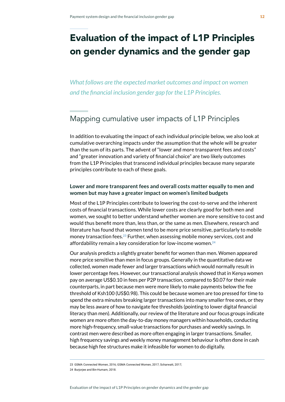# Evaluation of the impact of L1P Principles on gender dynamics and the gender gap

*What follows are the expected market outcomes and impact on women and the financial inclusion gender gap for the L1P Principles.* 

# Mapping cumulative user impacts of L1P Principles

In addition to evaluating the impact of each individual principle below, we also look at cumulative overarching impacts under the assumption that the whole will be greater than the sum of its parts. The advent of "lower and more transparent fees and costs" and "greater innovation and variety of financial choice" are two likely outcomes from the L1P Principles that transcend individual principles because many separate principles contribute to each of these goals.

### **Lower and more transparent fees and overall costs matter equally to men and women but may have a greater impact on women's limited budgets**

Most of the L1P Principles contribute to lowering the cost-to-serve and the inherent costs of financial transactions. While lower costs are clearly good for both men and women, we sought to better understand whether women are more sensitive to cost and would thus benefit more than, less than, or the same as men. Elsewhere, research and literature has found that women tend to be more price sensitive, particularly to mobile money transaction fees.**23** Further, when assessing mobile money services, cost and affordability remain a key consideration for low-income women.**<sup>24</sup>**

Our analysis predicts a slightly greater benefit for women than men. Women appeared more price sensitive than men in focus groups. Generally in the quantitative data we collected, women made fewer and larger transactions which would normally result in lower percentage fees. However, our transactional analysis showed that in Kenya women pay on average US\$0.10 in fees per P2P transaction, compared to \$0.07 for their male counterparts, in part because men were more likely to make payments below the fee threshold of Ksh100 (US\$0.98). This could be because women are too pressed for time to spend the extra minutes breaking larger transactions into many smaller free ones, or they may be less aware of how to navigate fee thresholds (pointing to lower digital financial literacy than men). Additionally, our review of the literature and our focus groups indicate women are more often the day-to-day money managers within households, conducting more high-frequency, small-value transactions for purchases and weekly savings. In contrast men were described as more often engaging in larger transactions. Smaller, high frequency savings and weekly money management behaviour is often done in cash because high fee structures make it infeasible for women to do digitally.

23 GSMA Connected Women, 2016; GSMA Connected Women, 2017; Scharwatt, 2017;

24 Burjorjee and Bin-Humam, 2018.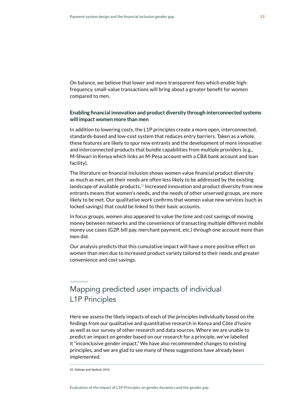On balance, we believe that lower and more transparent fees which enable highfrequency, small-value transactions will bring about a greater benefit for women compared to men.

### **Enabling financial innovation and product diversity through interconnected systems will impact women more than men**

In addition to lowering costs, the L1P principles create a more open, interconnected, standards-based and low-cost system that reduces entry barriers. Taken as a whole, these features are likely to spur new entrants and the development of more innovative and interconnected products that bundle capabilities from multiple providers (e.g., M-Shwari in Kenya which links an M-Pesa account with a CBA bank account and loan facility).

The literature on financial inclusion shows women value financial product diversity as much as men, yet their needs are often less likely to be addressed by the existing landscape of available products.**<sup>25</sup>** Increased innovation and product diversity from new entrants means that women's needs, and the needs of other unserved groups, are more likely to be met. Our qualitative work confirms that women value new services (such as locked savings) that could be linked to their basic accounts.

In focus groups, women also appeared to value the time and cost savings of moving money between networks and the convenience of transacting multiple different mobile money use cases (G2P, bill pay, merchant payment, etc.) through one account more than men did.

Our analysis predicts that this cumulative impact will have a more positive effect on women than men due to increased product variety tailored to their needs and greater convenience and cost savings.

# Mapping predicted user impacts of individual L1P Principles

Here we assess the likely impacts of each of the principles individually based on the findings from our qualitative and quantitative research in Kenya and Côte d'Ivoire as well as our survey of other research and data sources. Where we are unable to predict an impact on gender based on our research for a principle, we've labelled it "inconclusive gender impact." We have also recommended changes to existing principles, and we are glad to see many of these suggestions have already been implemented.

<sup>25</sup> Zollman and Sanford, 2016.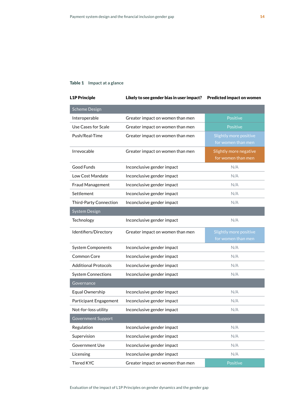### Table 1 **Impact at a glance**

| <b>L1P Principle</b>          | Likely to see gender bias in user impact? | <b>Predicted impact on women</b>             |
|-------------------------------|-------------------------------------------|----------------------------------------------|
| <b>Scheme Design</b>          |                                           |                                              |
| Interoperable                 | Greater impact on women than men          | Positive                                     |
| Use Cases for Scale           | Greater impact on women than men          | Positive                                     |
| Push/Real-Time                | Greater impact on women than men          | Slightly more positive<br>for women than men |
| Irrevocable                   | Greater impact on women than men          | Slightly more negative<br>for women than men |
| Good Funds                    | Inconclusive gender impact                | N/A                                          |
| Low Cost Mandate              | Inconclusive gender impact                | N/A                                          |
| Fraud Management              | Inconclusive gender impact                | N/A                                          |
| Settlement                    | Inconclusive gender impact                | N/A                                          |
| <b>Third-Party Connection</b> | Inconclusive gender impact                | N/A                                          |
| System Design                 |                                           |                                              |
| Technology                    | Inconclusive gender impact                | N/A                                          |
| Identifiers/Directory         | Greater impact on women than men          | Slightly more positive<br>for women than men |
| <b>System Components</b>      | Inconclusive gender impact                | N/A                                          |
| Common Core                   | Inconclusive gender impact                | N/A                                          |
| <b>Additional Protocols</b>   | Inconclusive gender impact                | N/A                                          |
| <b>System Connections</b>     | Inconclusive gender impact                | N/A                                          |
| Governance                    |                                           |                                              |
| Equal Ownership               | Inconclusive gender impact                | N/A                                          |
| Participant Engagement        | Inconclusive gender impact                | N/A                                          |
| Not-for-loss utility          | Inconclusive gender impact                | N/A                                          |
| Government Support            |                                           |                                              |
| Regulation                    | Inconclusive gender impact                | N/A                                          |
| Supervision                   | Inconclusive gender impact                | N/A                                          |
| <b>Government Use</b>         | Inconclusive gender impact                | N/A                                          |
| Licensing                     | Inconclusive gender impact                | N/A                                          |
| <b>Tiered KYC</b>             | Greater impact on women than men          | Positive                                     |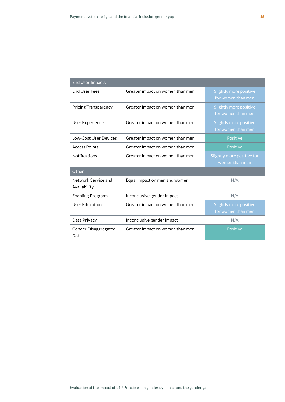| <b>End User Impacts</b>      |                                  |                            |
|------------------------------|----------------------------------|----------------------------|
| <b>End User Fees</b>         | Greater impact on women than men | Slightly more positive     |
|                              |                                  | for women than men         |
| <b>Pricing Transparency</b>  | Greater impact on women than men | Slightly more positive     |
|                              |                                  | for women than men         |
| <b>User Experience</b>       | Greater impact on women than men | Slightly more positive     |
|                              |                                  | for women than men         |
| Low-Cost User Devices        | Greater impact on women than men | <b>Positive</b>            |
| <b>Access Points</b>         | Greater impact on women than men | <b>Positive</b>            |
| <b>Notifications</b>         | Greater impact on women than men | Slightly more positive for |
|                              |                                  | women than men             |
| Other                        |                                  |                            |
| Network Service and          | Equal impact on men and women    | N/A                        |
| Availability                 |                                  |                            |
| <b>Enabling Programs</b>     | Inconclusive gender impact       | N/A                        |
| User Education               | Greater impact on women than men | Slightly more positive     |
|                              |                                  | for women than men         |
| Data Privacy                 | Inconclusive gender impact       | N/A                        |
| Gender Disaggregated<br>Data | Greater impact on women than men | <b>Positive</b>            |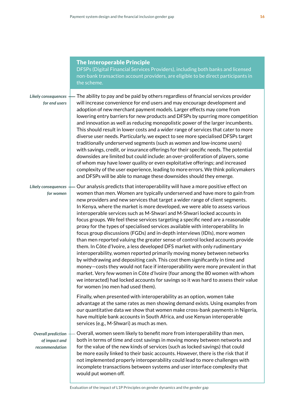|                                                              | <b>The Interoperable Principle</b><br>DFSPs (Digital Financial Services Providers), including both banks and licensed<br>non-bank transaction account providers, are eligible to be direct participants in<br>the scheme.                                                                                                                                                                                                                                                                                                                                                                                                                                                                                                                                                                                                                                                                                                                                                                                                                                                                                                                                                                                                                                                           |
|--------------------------------------------------------------|-------------------------------------------------------------------------------------------------------------------------------------------------------------------------------------------------------------------------------------------------------------------------------------------------------------------------------------------------------------------------------------------------------------------------------------------------------------------------------------------------------------------------------------------------------------------------------------------------------------------------------------------------------------------------------------------------------------------------------------------------------------------------------------------------------------------------------------------------------------------------------------------------------------------------------------------------------------------------------------------------------------------------------------------------------------------------------------------------------------------------------------------------------------------------------------------------------------------------------------------------------------------------------------|
| Likely consequences<br>for end users                         | The ability to pay and be paid by others regardless of financial services provider<br>will increase convenience for end users and may encourage development and<br>adoption of new merchant payment models. Larger effects may come from<br>lowering entry barriers for new products and DFSPs by spurring more competition<br>and innovation as well as reducing monopolistic power of the larger incumbents.<br>This should result in lower costs and a wider range of services that cater to more<br>diverse user needs. Particularly, we expect to see more specialised DFSPs target<br>traditionally underserved segments (such as women and low-income users)<br>with savings, credit, or insurance offerings for their specific needs. The potential<br>downsides are limited but could include: an over-proliferation of players, some<br>of whom may have lower quality or even exploitative offerings; and increased<br>complexity of the user experience, leading to more errors. We think policymakers<br>and DFSPs will be able to manage these downsides should they emerge.                                                                                                                                                                                          |
| Likely consequences<br>for women                             | Our analysis predicts that interoperability will have a more positive effect on<br>women than men. Women are typically underserved and have more to gain from<br>new providers and new services that target a wider range of client segments.<br>In Kenya, where the market is more developed, we were able to assess various<br>interoperable services such as M-Shwari and M-Shwari locked accounts in<br>focus groups. We feel these services targeting a specific need are a reasonable<br>proxy for the types of specialised services available with interoperability. In<br>focus group discussions (FGDs) and in-depth interviews (IDIs), more women<br>than men reported valuing the greater sense of control locked accounts provide<br>them. In Côte d'Ivoire, a less developed DFS market with only rudimentary<br>interoperability, women reported primarily moving money between networks<br>by withdrawing and depositing cash. This cost them significantly in time and<br>money-costs they would not face if interoperability were more prevalent in that<br>market. Very few women in Côte d'Ivoire (four among the 80 women with whom<br>we interacted) had locked accounts for savings so it was hard to assess their value<br>for women (no men had used them). |
|                                                              | Finally, when presented with interoperability as an option, women take<br>advantage at the same rates as men showing demand exists. Using examples from<br>our quantitative data we show that women make cross-bank payments in Nigeria,<br>have multiple bank accounts in South Africa, and use Kenyan interoperable<br>services (e.g., M-Shwari) as much as men.                                                                                                                                                                                                                                                                                                                                                                                                                                                                                                                                                                                                                                                                                                                                                                                                                                                                                                                  |
| <b>Overall prediction</b><br>of impact and<br>recommendation | Overall, women seem likely to benefit more from interoperability than men,<br>both in terms of time and cost savings in moving money between networks and<br>for the value of the new kinds of services (such as locked savings) that could<br>be more easily linked to their basic accounts. However, there is the risk that if<br>not implemented properly interoperability could lead to more challenges with<br>incomplete transactions between systems and user interface complexity that<br>would put women off.                                                                                                                                                                                                                                                                                                                                                                                                                                                                                                                                                                                                                                                                                                                                                              |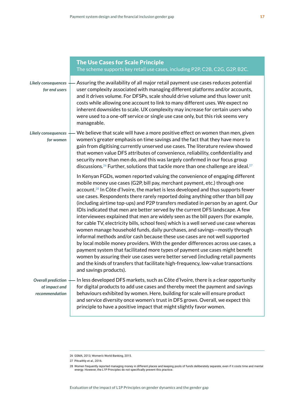|                                                              | <b>The Use Cases for Scale Principle</b><br>The scheme supports key retail use cases, including P2P, C2B, C2G, G2P, B2C.                                                                                                                                                                                                                                                                                                                                                                                                                                                                                                                                                                                                                                                                                                                                                                                                                                                                                                                                                                                                                                                                                                             |
|--------------------------------------------------------------|--------------------------------------------------------------------------------------------------------------------------------------------------------------------------------------------------------------------------------------------------------------------------------------------------------------------------------------------------------------------------------------------------------------------------------------------------------------------------------------------------------------------------------------------------------------------------------------------------------------------------------------------------------------------------------------------------------------------------------------------------------------------------------------------------------------------------------------------------------------------------------------------------------------------------------------------------------------------------------------------------------------------------------------------------------------------------------------------------------------------------------------------------------------------------------------------------------------------------------------|
| Likely consequences<br>for end users                         | Assuring the availability of all major retail payment use cases reduces potential<br>user complexity associated with managing different platforms and/or accounts,<br>and it drives volume. For DFSPs, scale should drive volume and thus lower unit<br>costs while allowing one account to link to many different uses. We expect no<br>inherent downsides to scale. UX complexity may increase for certain users who<br>were used to a one-off service or single use case only, but this risk seems very<br>manageable.                                                                                                                                                                                                                                                                                                                                                                                                                                                                                                                                                                                                                                                                                                            |
| Likely consequences<br>for women                             | We believe that scale will have a more positive effect on women than men, given<br>women's greater emphasis on time savings and the fact that they have more to<br>gain from digitising currently unserved use cases. The literature review showed<br>that women value DFS attributes of convenience, reliability, confidentiality and<br>security more than men do, and this was largely confirmed in our focus group<br>discussions. <sup>26</sup> Further, solutions that tackle more than one challenge are ideal. <sup>27</sup>                                                                                                                                                                                                                                                                                                                                                                                                                                                                                                                                                                                                                                                                                                 |
|                                                              | In Kenyan FGDs, women reported valuing the convenience of engaging different<br>mobile money use cases (G2P, bill pay, merchant payment, etc.) through one<br>account. <sup>28</sup> In Côte d'Ivoire, the market is less developed and thus supports fewer<br>use cases. Respondents there rarely reported doing anything other than bill pay<br>(including airtime top-ups) and P2P transfers mediated in person by an agent. Our<br>IDIs indicated that men are better served by the current DFS landscape. A few<br>interviewees explained that men are widely seen as the bill payers (for example,<br>for cable TV, electricity bills, school fees) which is a well served use case whereas<br>women manage household funds, daily purchases, and savings-mostly through<br>informal methods and/or cash because these use cases are not well supported<br>by local mobile money providers. With the gender differences across use cases, a<br>payment system that facilitated more types of payment use cases might benefit<br>women by assuring their use cases were better served (including retail payments<br>and the kinds of transfers that facilitate high-frequency, low-value transactions<br>and savings products). |
| <b>Overall prediction</b><br>of impact and<br>recommendation | In less developed DFS markets, such as Côte d'Ivoire, there is a clear opportunity<br>for digital products to add use cases and thereby meet the payment and savings<br>behaviours exhibited by women. Here, building for scale will ensure product<br>and service diversity once women's trust in DFS grows. Overall, we expect this<br>principle to have a positive impact that might slightly favor women.                                                                                                                                                                                                                                                                                                                                                                                                                                                                                                                                                                                                                                                                                                                                                                                                                        |

<sup>26</sup> GSMA, 2013; Women's World Banking, 2015.

<sup>27</sup> Pitcaithly et al., 2016.

<sup>28</sup> Women frequently reported managing money in different places and keeping pools of funds deliberately separate, even if it costs time and mental<br>energy. However, the L1P Principles do not specifically prevent this practi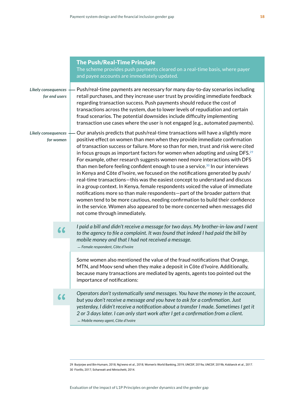|                                                                                 |    | <b>The Push/Real-Time Principle</b><br>The scheme provides push payments cleared on a real-time basis, where payer<br>and payee accounts are immediately updated.                                                                                                                                                                                                                                                                                                                                                                                                                                                                                                                                                                                                                                                                                                                                                                                                                                                                                                   |
|---------------------------------------------------------------------------------|----|---------------------------------------------------------------------------------------------------------------------------------------------------------------------------------------------------------------------------------------------------------------------------------------------------------------------------------------------------------------------------------------------------------------------------------------------------------------------------------------------------------------------------------------------------------------------------------------------------------------------------------------------------------------------------------------------------------------------------------------------------------------------------------------------------------------------------------------------------------------------------------------------------------------------------------------------------------------------------------------------------------------------------------------------------------------------|
| Likely consequences<br>for end users<br><b>Likely consequences</b><br>for women |    | Push/real-time payments are necessary for many day-to-day scenarios including<br>retail purchases, and they increase user trust by providing immediate feedback<br>regarding transaction success. Push payments should reduce the cost of<br>transactions across the system, due to lower levels of repudiation and certain<br>fraud scenarios. The potential downsides include difficulty implementing<br>transaction use cases where the user is not engaged (e.g., automated payments).                                                                                                                                                                                                                                                                                                                                                                                                                                                                                                                                                                          |
|                                                                                 |    | Our analysis predicts that push/real-time transactions will have a slightly more<br>positive effect on women than men when they provide immediate confirmation<br>of transaction success or failure. More so than for men, trust and risk were cited<br>in focus groups as important factors for women when adopting and using DFS. <sup>29</sup><br>For example, other research suggests women need more interactions with DFS<br>than men before feeling confident enough to use a service. <sup>30</sup> In our interviews<br>in Kenya and Côte d'Ivoire, we focused on the notifications generated by push/<br>real-time transactions-this was the easiest concept to understand and discuss<br>in a group context. In Kenya, female respondents voiced the value of immediate<br>notifications more so than male respondents-part of the broader pattern that<br>women tend to be more cautious, needing confirmation to build their confidence<br>in the service. Women also appeared to be more concerned when messages did<br>not come through immediately. |
| 66                                                                              |    | I paid a bill and didn't receive a message for two days. My brother-in-law and I went<br>to the agency to file a complaint. It was found that indeed I had paid the bill by<br>mobile money and that I had not received a message.<br>- Female respondent, Côte d'Ivoire                                                                                                                                                                                                                                                                                                                                                                                                                                                                                                                                                                                                                                                                                                                                                                                            |
|                                                                                 |    | Some women also mentioned the value of the fraud notifications that Orange,<br>MTN, and Moov send when they make a deposit in Côte d'Ivoire. Additionally,<br>because many transactions are mediated by agents, agents too pointed out the<br>importance of notifications:                                                                                                                                                                                                                                                                                                                                                                                                                                                                                                                                                                                                                                                                                                                                                                                          |
|                                                                                 | 66 | Operators don't systematically send messages. You have the money in the account,<br>but you don't receive a message and you have to ask for a confirmation. Just<br>yesterday, I didn't receive a notification about a transfer I made. Sometimes I get it<br>2 or 3 days later. I can only start work after I get a confirmation from a client.<br>- Mobile money agent, Côte d'Ivoire                                                                                                                                                                                                                                                                                                                                                                                                                                                                                                                                                                                                                                                                             |
|                                                                                 |    |                                                                                                                                                                                                                                                                                                                                                                                                                                                                                                                                                                                                                                                                                                                                                                                                                                                                                                                                                                                                                                                                     |

29 Burjorjee and Bin-Humam, 2018; Ng'weno et al., 2018; Women's World Banking, 2019; UNCDF, 2019a; UNCDF, 2019b; Koblanck et al., 2017. 30 Fiorillo, 2017; Scharwatt and Minischetti, 2014.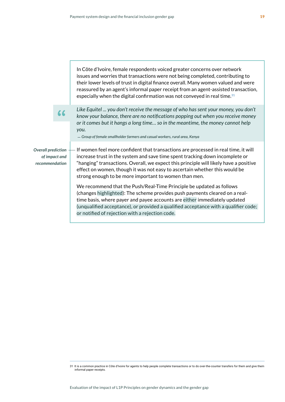|                                                              | In Côte d'Ivoire, female respondents voiced greater concerns over network<br>issues and worries that transactions were not being completed, contributing to<br>their lower levels of trust in digital finance overall. Many women valued and were<br>reassured by an agent's informal paper receipt from an agent-assisted transaction,<br>especially when the digital confirmation was not conveyed in real time. <sup>31</sup>                                                                                                                          |
|--------------------------------------------------------------|-----------------------------------------------------------------------------------------------------------------------------------------------------------------------------------------------------------------------------------------------------------------------------------------------------------------------------------------------------------------------------------------------------------------------------------------------------------------------------------------------------------------------------------------------------------|
| <b>Overall prediction</b><br>of impact and<br>recommendation | Like Equitel  you don't receive the message of who has sent your money, you don't<br>know your balance, there are no notifications popping out when you receive money<br>or it comes but it hangs a long time so in the meantime, the money cannot help<br>you.<br>- Group of female smallholder farmers and casual workers, rural area, Kenya                                                                                                                                                                                                            |
|                                                              | If women feel more confident that transactions are processed in real time, it will<br>increase trust in the system and save time spent tracking down incomplete or<br>"hanging" transactions. Overall, we expect this principle will likely have a positive<br>effect on women, though it was not easy to ascertain whether this would be<br>strong enough to be more important to women than men.<br>We recommend that the Push/Real-Time Principle be updated as follows<br>(changes highlighted): The scheme provides push payments cleared on a real- |
|                                                              | time basis, where payer and payee accounts are either immediately updated<br>(unqualified acceptance), or provided a qualified acceptance with a qualifier code;<br>or notified of rejection with a rejection code.                                                                                                                                                                                                                                                                                                                                       |

<sup>31</sup> It is a common practice in Côte d'Ivoire for agents to help people complete transactions or to do over-the-counter transfers for them and give them informal paper receipts.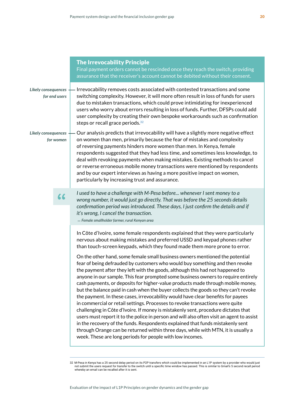|                                         | <b>The Irrevocability Principle</b><br>Final payment orders cannot be rescinded once they reach the switch, providing<br>assurance that the receiver's account cannot be debited without their consent.                                                                                                                                                                                                                                                                                                                                                                                                                                                                                                                                                            |
|-----------------------------------------|--------------------------------------------------------------------------------------------------------------------------------------------------------------------------------------------------------------------------------------------------------------------------------------------------------------------------------------------------------------------------------------------------------------------------------------------------------------------------------------------------------------------------------------------------------------------------------------------------------------------------------------------------------------------------------------------------------------------------------------------------------------------|
| Likely consequences<br>for end users    | Irrevocability removes costs associated with contested transactions and some<br>switching complexity. However, it will more often result in loss of funds for users<br>due to mistaken transactions, which could prove intimidating for inexperienced<br>users who worry about errors resulting in loss of funds. Further, DFSPs could add<br>user complexity by creating their own bespoke workarounds such as confirmation<br>steps or recall grace periods. <sup>32</sup>                                                                                                                                                                                                                                                                                       |
| <b>Likely consequences</b><br>for women | Our analysis predicts that irrevocability will have a slightly more negative effect<br>on women than men, primarily because the fear of mistakes and complexity<br>of reversing payments hinders more women than men. In Kenya, female<br>respondents suggested that they had less time, and sometimes less knowledge, to<br>deal with revoking payments when making mistakes. Existing methods to cancel<br>or reverse erroneous mobile money transactions were mentioned by respondents<br>and by our expert interviews as having a more positive impact on women,<br>particularly by increasing trust and assurance.                                                                                                                                            |
| 66                                      | I used to have a challenge with M-Pesa before whenever I sent money to a<br>wrong number, it would just go directly. That was before the 25 seconds details<br>confirmation period was introduced. These days, I just confirm the details and if<br>it's wrong, I cancel the transaction.<br>- Female smallholder farmer, rural Kenyan area                                                                                                                                                                                                                                                                                                                                                                                                                        |
|                                         | In Côte d'Ivoire, some female respondents explained that they were particularly<br>nervous about making mistakes and preferred USSD and keypad phones rather<br>than touch-screen keypads, which they found made them more prone to error.<br>On the other hand, some female small business owners mentioned the potential<br>fear of being defrauded by customers who would buy something and then revoke<br>the payment after they left with the goods, although this had not happened to<br>anyone in our sample. This fear prompted some business owners to require entirely                                                                                                                                                                                   |
|                                         | cash payments, or deposits for higher-value products made through mobile money,<br>but the balance paid in cash when the buyer collects the goods so they can't revoke<br>the payment. In these cases, irrevocability would have clear benefits for payees<br>in commercial or retail settings. Processes to revoke transactions were quite<br>challenging in Côte d'Ivoire. If money is mistakenly sent, procedure dictates that<br>users must report it to the police in person and will also often visit an agent to assist<br>in the recovery of the funds. Respondents explained that funds mistakenly sent<br>through Orange can be returned within three days, while with MTN, it is usually a<br>week. These are long periods for people with low incomes. |

<sup>32</sup> M-Pesa in Kenya has a 25 second delay period on its P2P transfers which could be implemented in an L1P system by a provider who would just not submit the users request for transfers to the switch until a specific time w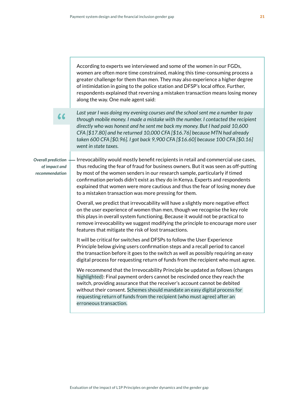|                                                              | According to experts we interviewed and some of the women in our FGDs,<br>women are often more time constrained, making this time-consuming process a<br>greater challenge for them than men. They may also experience a higher degree<br>of intimidation in going to the police station and DFSP's local office. Further,<br>respondents explained that reversing a mistaken transaction means losing money<br>along the way. One male agent said:                                 |
|--------------------------------------------------------------|-------------------------------------------------------------------------------------------------------------------------------------------------------------------------------------------------------------------------------------------------------------------------------------------------------------------------------------------------------------------------------------------------------------------------------------------------------------------------------------|
| 66                                                           | Last year I was doing my evening courses and the school sent me a number to pay<br>through mobile money. I made a mistake with the number. I contacted the recipient<br>directly who was honest and he sent me back my money. But I had paid 10,600<br>CFA [\$17.80] and he returned 10,000 CFA [\$16.76] because MTN had already<br>taken 600 CFA [\$0.96]. I got back 9,900 CFA [\$16.60] because 100 CFA [\$0.16]<br>went in state taxes.                                        |
| <b>Overall prediction</b><br>of impact and<br>recommendation | Irrevocability would mostly benefit recipients in retail and commercial use cases,<br>thus reducing the fear of fraud for business owners. But it was seen as off-putting<br>by most of the women senders in our research sample, particularly if timed<br>confirmation periods didn't exist as they do in Kenya. Experts and respondents<br>explained that women were more cautious and thus the fear of losing money due<br>to a mistaken transaction was more pressing for them. |
|                                                              | Overall, we predict that irrevocability will have a slightly more negative effect<br>on the user experience of women than men, though we recognise the key role<br>this plays in overall system functioning. Because it would not be practical to<br>remove irrevocability we suggest modifying the principle to encourage more user<br>features that mitigate the risk of lost transactions.                                                                                       |
|                                                              | It will be critical for switches and DFSPs to follow the User Experience<br>Principle below giving users confirmation steps and a recall period to cancel<br>the transaction before it goes to the switch as well as possibly requiring an easy<br>digital process for requesting return of funds from the recipient who must agree.                                                                                                                                                |
|                                                              | We recommend that the Irrevocability Principle be updated as follows (changes<br>highlighted): Final payment orders cannot be rescinded once they reach the<br>switch, providing assurance that the receiver's account cannot be debited<br>without their consent. Schemes should mandate an easy digital process for<br>requesting return of funds from the recipient (who must agree) after an<br>erroneous transaction.                                                          |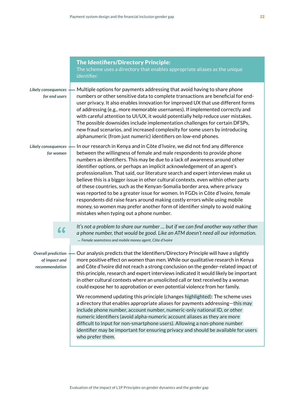|                                                              | <b>The Identifiers/Directory Principle:</b><br>The scheme uses a directory that enables appropriate aliases as the unique<br>identifier.                                                                                                                                                                                                                                                                                                                                                                                                                                                                                                                                                                                                                                                                                                                              |
|--------------------------------------------------------------|-----------------------------------------------------------------------------------------------------------------------------------------------------------------------------------------------------------------------------------------------------------------------------------------------------------------------------------------------------------------------------------------------------------------------------------------------------------------------------------------------------------------------------------------------------------------------------------------------------------------------------------------------------------------------------------------------------------------------------------------------------------------------------------------------------------------------------------------------------------------------|
| Likely consequences<br>for end users                         | Multiple options for payments addressing that avoid having to share phone<br>numbers or other sensitive data to complete transactions are beneficial for end-<br>user privacy. It also enables innovation for improved UX that use different forms<br>of addressing (e.g., more memorable usernames). If implemented correctly and<br>with careful attention to UI/UX, it would potentially help reduce user mistakes.<br>The possible downsides include implementation challenges for certain DFSPs,<br>new fraud scenarios, and increased complexity for some users by introducing<br>alphanumeric (from just numeric) identifiers on low-end phones.                                                                                                                                                                                                               |
| Likely consequences<br>for women                             | In our research in Kenya and in Côte d'Ivoire, we did not find any difference<br>between the willingness of female and male respondents to provide phone<br>numbers as identifiers. This may be due to a lack of awareness around other<br>identifier options, or perhaps an implicit acknowledgement of an agent's<br>professionalism. That said, our literature search and expert interviews make us<br>believe this is a bigger issue in other cultural contexts, even within other parts<br>of these countries, such as the Kenyan-Somalia border area, where privacy<br>was reported to be a greater issue for women. In FGDs in Côte d'Ivoire, female<br>respondents did raise fears around making costly errors while using mobile<br>money, so women may prefer another form of identifier simply to avoid making<br>mistakes when typing out a phone number. |
| 66                                                           | It's not a problem to share our number  but if we can find another way rather than<br>a phone number, that would be good. Like an ATM doesn't need all our information.<br>- Female seamstress and mobile money agent, Côte d'Ivoire                                                                                                                                                                                                                                                                                                                                                                                                                                                                                                                                                                                                                                  |
| <b>Overall prediction</b><br>of impact and<br>recommendation | Our analysis predicts that the Identifiers/Directory Principle will have a slightly<br>more positive effect on women than men. While our qualitative research in Kenya<br>and Côte d'Ivoire did not reach a strong conclusion on the gender-related impact of<br>this principle, research and expert interviews indicated it would likely be important<br>in other cultural contexts where an unsolicited call or text received by a woman<br>could expose her to approbation or even potential violence from her family.                                                                                                                                                                                                                                                                                                                                             |
|                                                              | We recommend updating this principle (changes highlighted): The scheme uses<br>a directory that enables appropriate aliases for payments addressing-this may<br>include phone number, account number, numeric-only national ID, or other<br>numeric identifiers (avoid alpha-numeric account aliases as they are more<br>difficult to input for non-smartphone users). Allowing a non-phone number<br>identifier may be important for ensuring privacy and should be available for users<br>who prefer them.                                                                                                                                                                                                                                                                                                                                                          |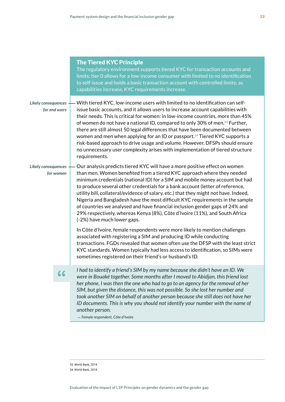|                                             | <b>The Tiered KYC Principle</b><br>The regulatory environment supports tiered KYC for transaction accounts and<br>limits; tier 0 allows for a low-income consumer with limited to no identification<br>to self-issue and holds a basic transaction account with controlled limits; as<br>capabilities increase, KYC requirements increase.                                                                                                                                                                                                                                                                                                                                                                 |
|---------------------------------------------|------------------------------------------------------------------------------------------------------------------------------------------------------------------------------------------------------------------------------------------------------------------------------------------------------------------------------------------------------------------------------------------------------------------------------------------------------------------------------------------------------------------------------------------------------------------------------------------------------------------------------------------------------------------------------------------------------------|
| <b>Likely consequences</b><br>for end users | With tiered KYC, low-income users with limited to no identification can self-<br>issue basic accounts, and it allows users to increase account capabilities with<br>their needs. This is critical for women: in low-income countries, more than 45%<br>of women do not have a national ID, compared to only 30% of men. <sup>33</sup> Further,<br>there are still almost 50 legal differences that have been documented between<br>women and men when applying for an ID or passport. <sup>34</sup> Tiered KYC supports a<br>risk-based approach to drive usage and volume. However, DFSPs should ensure<br>no unnecessary user complexity arises with implementation of tiered structure<br>requirements. |
| <b>Likely consequences</b><br>for women     | Our analysis predicts tiered KYC will have a more positive effect on women<br>than men. Women benefited from a tiered KYC approach where they needed<br>minimum credentials (national ID) for a SIM and mobile money account but had<br>to produce several other credentials for a bank account (letter of reference,<br>utility bill, collateral/evidence of salary, etc.) that they might not have. Indeed,<br>Nigeria and Bangladesh have the most difficult KYC requirements in the sample<br>of countries we analysed and have financial inclusion gender gaps of 24% and<br>29% respectively, whereas Kenya (8%), Côte d'Ivoire (11%), and South Africa<br>(-2%) have much lower gaps.               |
|                                             | In Côte d'Ivoire, female respondents were more likely to mention challenges<br>associated with registering a SIM and producing ID while conducting<br>transactions. FGDs revealed that women often use the DFSP with the least strict<br>KYC standards. Women typically had less access to identification, so SIMs were<br>sometimes registered on their friend's or husband's ID.                                                                                                                                                                                                                                                                                                                         |
|                                             | I had to identify a friend's SIM by my name because she didn't have an ID. We<br>were in Bouaké together. Some months after I moved to Abidjan, this friend lost<br>her phone. I was then the one who had to go to an agency for the removal of her<br>SIM, but given the distance, this was not possible. So she lost her number and<br>took another SIM on behalf of another person because she still does not have her<br>ID documents. This is why you should not identify your number with the name of<br>another person.<br>- Female respondent, Côte d'Ivoire                                                                                                                                       |
|                                             |                                                                                                                                                                                                                                                                                                                                                                                                                                                                                                                                                                                                                                                                                                            |

33 World Bank, 2018. 34 World Bank, 2018.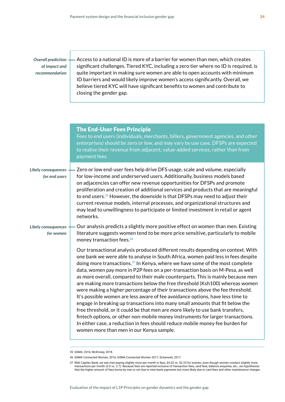### *Overall prediction of impact and recommendation*

Access to a national ID is more of a barrier for women than men, which creates significant challenges. Tiered KYC, including a zero tier where no ID is required, is quite important in making sure women are able to open accounts with minimum ID barriers and would likely improve women's access significantly. Overall, we believe tiered KYC will have significant benefits to women and contribute to closing the gender gap.

|                                      | <b>The End-User Fees Principle</b><br>Fees to end users (individuals, merchants, billers, government agencies, and other<br>enterprises) should be zero or low, and may vary by use case. DFSPs are expected<br>to realise their revenue from adjacent, value-added services, rather than from<br>payment fees.                                                                                                                                                                                                                                                                                                                                                                                                                                                                                                                                                                                                                                                                                                                                                                |
|--------------------------------------|--------------------------------------------------------------------------------------------------------------------------------------------------------------------------------------------------------------------------------------------------------------------------------------------------------------------------------------------------------------------------------------------------------------------------------------------------------------------------------------------------------------------------------------------------------------------------------------------------------------------------------------------------------------------------------------------------------------------------------------------------------------------------------------------------------------------------------------------------------------------------------------------------------------------------------------------------------------------------------------------------------------------------------------------------------------------------------|
| Likely consequences<br>for end users | Zero or low end-user fees help drive DFS usage, scale and volume, especially<br>for low-income and underserved users. Additionally, business models based<br>on adjacencies can offer new revenue opportunities for DFSPs and promote<br>proliferation and creation of additional services and products that are meaningful<br>to end users. <sup>35</sup> However, the downside is that DFSPs may need to adjust their<br>current revenue models, internal processes, and organizational structures and<br>may lead to unwillingness to participate or limited investment in retail or agent<br>networks.                                                                                                                                                                                                                                                                                                                                                                                                                                                                     |
| Likely consequences<br>for women     | Our analysis predicts a slightly more positive effect on women than men. Existing<br>literature suggests women tend to be more price sensitive, particularly to mobile<br>money transaction fees. <sup>36</sup>                                                                                                                                                                                                                                                                                                                                                                                                                                                                                                                                                                                                                                                                                                                                                                                                                                                                |
|                                      | Our transactional analysis produced different results depending on context. With<br>one bank we were able to analyse in South Africa, women paid less in fees despite<br>doing more transactions. <sup>37</sup> In Kenya, where we have some of the most complete<br>data, women pay more in P2P fees on a per-transaction basis on M-Pesa, as well<br>as more overall, compared to their male counterparts. This is mainly because men<br>are making more transactions below the free threshold (Ksh100) whereas women<br>were making a higher percentage of their transactions above the fee threshold.<br>It's possible women are less aware of fee avoidance options, have less time to<br>engage in breaking up transactions into many small amounts that fit below the<br>free threshold, or it could be that men are more likely to use bank transfers,<br>fintech options, or other non-mobile money instruments for larger transactions.<br>In either case, a reduction in fees should reduce mobile money fee burden for<br>women more than men in our Kenya sample. |

<sup>35</sup> GSMA, 2016; McKinsey, 2018.

<sup>36</sup> GSMA Connected Women, 2016; GSMA Connected Women 2017; Scharwatt, 2017.

<sup>37</sup> With Capitec Bank, we see men paying slightly more per month in fees, \$3.02 vs. \$2.25 for women, even though women conduct slightly more transactions per month (3.0 vs. 2.7). Because fees are reported inclusive of transaction fees, card fees, balance enquiries, etc., we hypothesise that the higher amount of fees borne by men is not due to inter-bank payments but more likely due to card fees and other maintenance charges.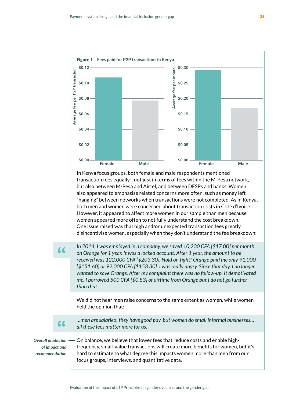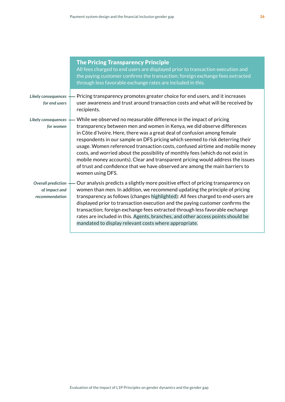|                                                              | <b>The Pricing Transparency Principle</b><br>All fees charged to end users are displayed prior to transaction execution and<br>the paying customer confirms the transaction; foreign exchange fees extracted<br>through less favorable exchange rates are included in this.                                                                                                                                                                                                                                                                                                                                                                                          |
|--------------------------------------------------------------|----------------------------------------------------------------------------------------------------------------------------------------------------------------------------------------------------------------------------------------------------------------------------------------------------------------------------------------------------------------------------------------------------------------------------------------------------------------------------------------------------------------------------------------------------------------------------------------------------------------------------------------------------------------------|
| Likely consequences<br>for end users                         | Pricing transparency promotes greater choice for end users, and it increases<br>user awareness and trust around transaction costs and what will be received by<br>recipients.                                                                                                                                                                                                                                                                                                                                                                                                                                                                                        |
| <b>Likely consequences</b><br>for women                      | While we observed no measurable difference in the impact of pricing<br>transparency between men and women in Kenya, we did observe differences<br>in Côte d'Ivoire. Here, there was a great deal of confusion among female<br>respondents in our sample on DFS pricing which seemed to risk deterring their<br>usage. Women referenced transaction costs, confused airtime and mobile money<br>costs, and worried about the possibility of monthly fees (which do not exist in<br>mobile money accounts). Clear and transparent pricing would address the issues<br>of trust and confidence that we have observed are among the main barriers to<br>women using DFS. |
| <b>Overall prediction</b><br>of impact and<br>recommendation | Our analysis predicts a slightly more positive effect of pricing transparency on<br>women than men. In addition, we recommend updating the principle of pricing<br>transparency as follows (changes highlighted): All fees charged to end-users are<br>displayed prior to transaction execution and the paying customer confirms the<br>transaction; foreign exchange fees extracted through less favorable exchange<br>rates are included in this. Agents, branches, and other access points should be<br>mandated to display relevant costs where appropriate.                                                                                                     |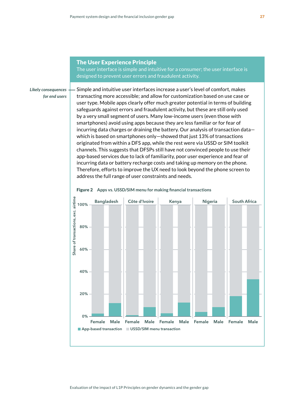#### The User Experience Principle

The user interface is simple and intuitive for a consumer; the user interface is designed to prevent user errors and fraudulent activity.

*Likely consequences for end users*

Simple and intuitive user interfaces increase a user's level of comfort, makes transacting more accessible; and allow for customization based on use case or user type. Mobile apps clearly offer much greater potential in terms of building safeguards against errors and fraudulent activity, but these are still only used by a very small segment of users. Many low-income users (even those with smartphones) avoid using apps because they are less familiar or for fear of incurring data charges or draining the battery. Our analysis of transaction data which is based on smartphones only—showed that just 13% of transactions originated from within a DFS app, while the rest were via USSD or SIM toolkit channels. This suggests that DFSPs still have not convinced people to use their app-based services due to lack of familiarity, poor user experience and fear of incurring data or battery recharge costs and taking up memory on the phone. Therefore, efforts to improve the UX need to look beyond the phone screen to address the full range of user constraints and needs.



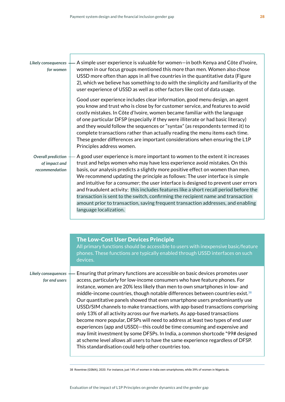#### *Likely consequences for women*

A simple user experience is valuable for women—in both Kenya and Côte d'Ivoire, women in our focus groups mentioned this more than men. Women also chose USSD more often than apps in all five countries in the quantitative data (Figure 2), which we believe has something to do with the simplicity and familiarity of the user experience of USSD as well as other factors like cost of data usage.

Good user experience includes clear information, good menu design, an agent you know and trust who is close by for customer service, and features to avoid costly mistakes. In Côte d'Ivoire, women became familiar with the language of one particular DFSP (especially if they were illiterate or had basic literacy) and they would follow the sequences or "syntax" (as respondents termed it) to complete transactions rather than actually reading the menu items each time. These gender differences are important considerations when ensuring the L1P Principles address women.

A good user experience is more important to women to the extent it increases trust and helps women who may have less experience avoid mistakes. On this basis, our analysis predicts a slightly more positive effect on women than men. We recommend updating the principle as follows: The user interface is simple and intuitive for a consumer; the user interface is designed to prevent user errors and fraudulent activity; this includes features like a short recall period before the transaction is sent to the switch, confirming the recipient name and transaction amount prior to transaction, saving frequent transaction addresses, and enabling language localization. *Overall prediction of impact and recommendation*

|                                      | <b>The Low-Cost User Devices Principle</b><br>All primary functions should be accessible to users with inexpensive basic/feature<br>phones. These functions are typically enabled through USSD interfaces on such<br>devices.                                                                                                                                                                                                                                                                                                                                                                                                                                                                                                                                                                                                                                                                                                                                                         |
|--------------------------------------|---------------------------------------------------------------------------------------------------------------------------------------------------------------------------------------------------------------------------------------------------------------------------------------------------------------------------------------------------------------------------------------------------------------------------------------------------------------------------------------------------------------------------------------------------------------------------------------------------------------------------------------------------------------------------------------------------------------------------------------------------------------------------------------------------------------------------------------------------------------------------------------------------------------------------------------------------------------------------------------|
| Likely consequences<br>for end users | Ensuring that primary functions are accessible on basic devices promotes user<br>access, particularly for low-income consumers who have feature phones. For<br>instance, women are 20% less likely than men to own smartphones in low- and<br>middle-income countries, though notable differences between countries exist. <sup>38</sup><br>Our quantitative panels showed that even smartphone users predominantly use<br>USSD/SIM channels to make transactions, with app-based transactions comprising<br>only 13% of all activity across our five markets. As app-based transactions<br>become more popular, DFSPs will need to address at least two types of end user<br>experiences (app and USSD)-this could be time consuming and expensive and<br>may limit investment by some DFSPs. In India, a common shortcode *99# designed<br>at scheme level allows all users to have the same experience regardless of DFSP.<br>This standardisation could help other countries too. |

38 Rowntree (GSMA), 2020. For instance, just 14% of women in India own smartphones, while 39% of women in Nigeria do.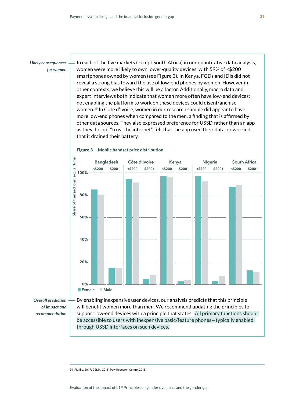In each of the five markets (except South Africa) in our quantitative data analysis, women were more likely to own lower-quality devices, with 59% of <\$200 smartphones owned by women (see Figure 3). In Kenya, FGDs and IDIs did not reveal a strong bias toward the use of low-end phones by women. However in other contexts, we believe this will be a factor. Additionally, macro data and expert interviews both indicate that women more often have low-end devices; not enabling the platform to work on these devices could disenfranchise women.**39** In Côte d'Ivoire, women in our research sample did appear to have more low-end phones when compared to the men, a finding that is affirmed by other data sources. They also expressed preference for USSD rather than an app as they did not "trust the internet", felt that the app used their data, or worried that it drained their battery.



#### Figure 3 **Mobile handset price distribution**

*Overall prediction of impact and recommendation*

By enabling inexpensive user devices, our analysis predicts that this principle will benefit women more than men. We recommend updating the principles to support low-end devices with a principle that states: All primary functions should be accessible to users with inexpensive basic/feature phones—typically enabled through USSD interfaces on such devices.

39 Fiorillo, 2017; GSMA, 2015; Pew Research Centre, 2018.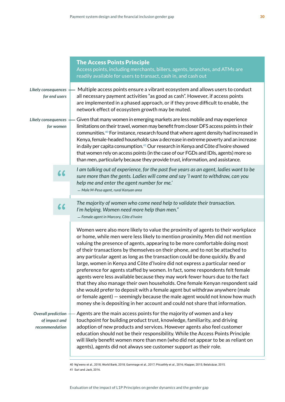|                                  |               | <b>The Access Points Principle</b><br>Access points, including merchants, billers, agents, branches, and ATMs are<br>readily available for users to transact, cash in, and cash out                                                                                                                                                                                                                                                                                                                                                                                                                                                                                                                                                                                                                                                                                                                                                                                                                                                                                        |
|----------------------------------|---------------|----------------------------------------------------------------------------------------------------------------------------------------------------------------------------------------------------------------------------------------------------------------------------------------------------------------------------------------------------------------------------------------------------------------------------------------------------------------------------------------------------------------------------------------------------------------------------------------------------------------------------------------------------------------------------------------------------------------------------------------------------------------------------------------------------------------------------------------------------------------------------------------------------------------------------------------------------------------------------------------------------------------------------------------------------------------------------|
| Likely consequences              | for end users | Multiple access points ensure a vibrant ecosystem and allows users to conduct<br>all necessary payment activities "as good as cash". However, if access points<br>are implemented in a phased approach, or if they prove difficult to enable, the<br>network effect of ecosystem growth may be muted.                                                                                                                                                                                                                                                                                                                                                                                                                                                                                                                                                                                                                                                                                                                                                                      |
| Likely consequences<br>for women |               | Given that many women in emerging markets are less mobile and may experience<br>limitations on their travel, women may benefit from closer DFS access points in their<br>communities. <sup>40</sup> For instance, research found that where agent density had increased in<br>Kenya, female-headed households saw a decrease in extreme poverty and an increase<br>in daily per capita consumption. <sup>41</sup> Our research in Kenya and Côte d'Ivoire showed<br>that women rely on access points (in the case of our FGDs and IDIs, agents) more so<br>than men, particularly because they provide trust, information, and assistance.                                                                                                                                                                                                                                                                                                                                                                                                                                 |
|                                  | 66            | I am talking out of experience, for the past five years as an agent, ladies want to be<br>sure more than the gents. Ladies will come and say 'I want to withdraw, can you<br>help me and enter the agent number for me.'<br>- Male M-Pesa agent, rural Kenyan area                                                                                                                                                                                                                                                                                                                                                                                                                                                                                                                                                                                                                                                                                                                                                                                                         |
|                                  | 66            | The majority of women who come need help to validate their transaction.<br>I'm helping. Women need more help than men."<br>- Female agent in Marcory, Côte d'Ivoire                                                                                                                                                                                                                                                                                                                                                                                                                                                                                                                                                                                                                                                                                                                                                                                                                                                                                                        |
| <b>Overall prediction</b>        |               | Women were also more likely to value the proximity of agents to their workplace<br>or home, while men were less likely to mention proximity. Men did not mention<br>valuing the presence of agents, appearing to be more comfortable doing most<br>of their transactions by themselves on their phone, and to not be attached to<br>any particular agent as long as the transaction could be done quickly. By and<br>large, women in Kenya and Côte d'Ivoire did not express a particular need or<br>preference for agents staffed by women. In fact, some respondents felt female<br>agents were less available because they may work fewer hours due to the fact<br>that they also manage their own households. One female Kenyan respondent said<br>she would prefer to deposit with a female agent but withdraw anywhere (male<br>or female agent) – seemingly because the male agent would not know how much<br>money she is depositing in her account and could not share that information.<br>Agents are the main access points for the majority of women and a key |
| of impact and<br>recommendation  |               | touchpoint for building product trust, knowledge, familiarity, and driving<br>adoption of new products and services. However agents also feel customer<br>education should not be their responsibility. While the Access Points Principle<br>will likely benefit women more than men (who did not appear to be as reliant on<br>agents), agents did not always see customer support as their role.                                                                                                                                                                                                                                                                                                                                                                                                                                                                                                                                                                                                                                                                         |

40 Ng'weno et al., 2018; World Bank, 2018; Gammage et al., 2017; Pitcaithly et al., 2016; Klapper, 2015; Belalcázar, 2015. 41 Suri and Jack, 2016.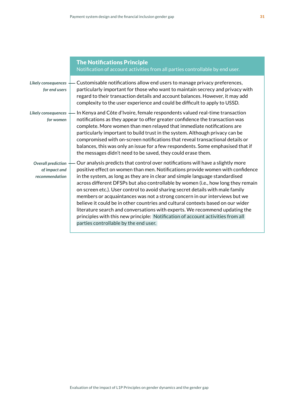|                                                              | <b>The Notifications Principle</b><br>Notification of account activities from all parties controllable by end user.                                                                                                                                                                                                                                                                                                                                                                                                                                                                                                                                                                                                                                                                                  |
|--------------------------------------------------------------|------------------------------------------------------------------------------------------------------------------------------------------------------------------------------------------------------------------------------------------------------------------------------------------------------------------------------------------------------------------------------------------------------------------------------------------------------------------------------------------------------------------------------------------------------------------------------------------------------------------------------------------------------------------------------------------------------------------------------------------------------------------------------------------------------|
| Likely consequences<br>for end users                         | Customisable notifications allow end users to manage privacy preferences,<br>particularly important for those who want to maintain secrecy and privacy with<br>regard to their transaction details and account balances. However, it may add<br>complexity to the user experience and could be difficult to apply to USSD.                                                                                                                                                                                                                                                                                                                                                                                                                                                                           |
| Likely consequences<br>for women                             | In Kenya and Côte d'Ivoire, female respondents valued real-time transaction<br>notifications as they appear to offer greater confidence the transaction was<br>complete. More women than men relayed that immediate notifications are<br>particularly important to build trust in the system. Although privacy can be<br>compromised with on-screen notifications that reveal transactional details or<br>balances, this was only an issue for a few respondents. Some emphasised that if<br>the messages didn't need to be saved, they could erase them.                                                                                                                                                                                                                                            |
| <b>Overall prediction</b><br>of impact and<br>recommendation | Our analysis predicts that control over notifications will have a slightly more<br>positive effect on women than men. Notifications provide women with confidence<br>in the system, as long as they are in clear and simple language standardised<br>across different DFSPs but also controllable by women (i.e., how long they remain<br>on screen etc.). User control to avoid sharing secret details with male family<br>members or acquaintances was not a strong concern in our interviews but we<br>believe it could be in other countries and cultural contexts based on our wider<br>literature search and conversations with experts. We recommend updating the<br>principles with this new principle: Notification of account activities from all<br>parties controllable by the end user. |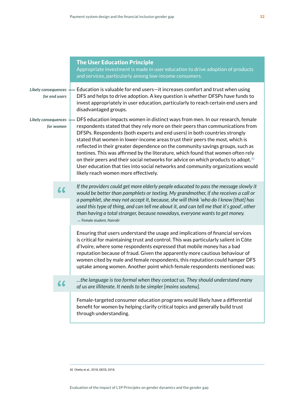|                                             | <b>The User Education Principle</b><br>Appropriate investment is made in user education to drive adoption of products<br>and services, particularly among low-income consumers.                                                                                                                                                                                                                                                                                                                                                                                                                                                                                                                                                  |
|---------------------------------------------|----------------------------------------------------------------------------------------------------------------------------------------------------------------------------------------------------------------------------------------------------------------------------------------------------------------------------------------------------------------------------------------------------------------------------------------------------------------------------------------------------------------------------------------------------------------------------------------------------------------------------------------------------------------------------------------------------------------------------------|
| <b>Likely consequences</b><br>for end users | Education is valuable for end users-it increases comfort and trust when using<br>DFS and helps to drive adoption. A key question is whether DFSPs have funds to<br>invest appropriately in user education, particularly to reach certain end users and<br>disadvantaged groups.                                                                                                                                                                                                                                                                                                                                                                                                                                                  |
| Likely consequences<br>for women            | DFS education impacts women in distinct ways from men. In our research, female<br>respondents stated that they rely more on their peers than communications from<br>DFSPs. Respondents (both experts and end users) in both countries strongly<br>stated that women in lower-income areas trust their peers the most, which is<br>reflected in their greater dependence on the community savings groups, such as<br>tontines. This was affirmed by the literature, which found that women often rely<br>on their peers and their social networks for advice on which products to adopt. <sup>42</sup><br>User education that ties into social networks and community organizations would<br>likely reach women more effectively. |
| 66                                          | If the providers could get more elderly people educated to pass the message slowly it<br>would be better than pamphlets or texting. My grandmother, if she receives a call or<br>a pamphlet, she may not accept it, because, she will think 'who do I know [that] has<br>used this type of thing, and can tell me about it, and can tell me that it's good', other<br>than having a total stranger, because nowadays, everyone wants to get money.<br>- Female student, Nairobi                                                                                                                                                                                                                                                  |
|                                             | Ensuring that users understand the usage and implications of financial services<br>is critical for maintaining trust and control. This was particularly salient in Côte<br>d'Ivoire, where some respondents expressed that mobile money has a bad<br>reputation because of fraud. Given the apparently more cautious behaviour of<br>women cited by male and female respondents, this reputation could hamper DFS<br>uptake among women. Another point which female respondents mentioned was:                                                                                                                                                                                                                                   |
| 66                                          | the language is too formal when they contact us. They should understand many<br>of us are illiterate. It needs to be simpler [moins soutenu].                                                                                                                                                                                                                                                                                                                                                                                                                                                                                                                                                                                    |
|                                             | Female-targeted consumer education programs would likely have a differential<br>benefit for women by helping clarify critical topics and generally build trust<br>through understanding.                                                                                                                                                                                                                                                                                                                                                                                                                                                                                                                                         |
|                                             |                                                                                                                                                                                                                                                                                                                                                                                                                                                                                                                                                                                                                                                                                                                                  |

42 Chetty et al., 2018; OECD, 2018.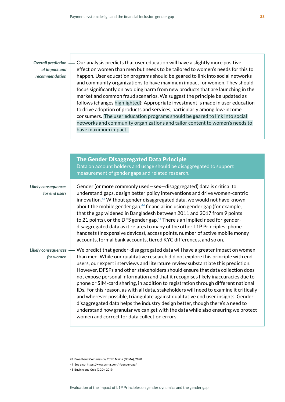*Overall prediction of impact and recommendation*

Our analysis predicts that user education will have a slightly more positive effect on women than men but needs to be tailored to women's needs for this to happen. User education programs should be geared to link into social networks and community organizations to have maximum impact for women. They should focus significantly on avoiding harm from new products that are launching in the market and common fraud scenarios. We suggest the principle be updated as follows (changes highlighted): Appropriate investment is made in user education to drive adoption of products and services, particularly among low-income consumers. The user education programs should be geared to link into social networks and community organizations and tailor content to women's needs to have maximum impact.

|                                      | <b>The Gender Disaggregated Data Principle</b><br>Data on account holders and usage should be disaggregated to support<br>measurement of gender gaps and related research.                                                                                                                                                                                                                                                                                                                                                                                                                                                                                                                                                                                                                                                                                                                                           |
|--------------------------------------|----------------------------------------------------------------------------------------------------------------------------------------------------------------------------------------------------------------------------------------------------------------------------------------------------------------------------------------------------------------------------------------------------------------------------------------------------------------------------------------------------------------------------------------------------------------------------------------------------------------------------------------------------------------------------------------------------------------------------------------------------------------------------------------------------------------------------------------------------------------------------------------------------------------------|
| Likely consequences<br>for end users | Gender (or more commonly used-sex-disaggregated) data is critical to<br>understand gaps, design better policy interventions and drive women-centric<br>innovation. <sup>43</sup> Without gender disaggregated data, we would not have known<br>about the mobile gender gap, <sup>44</sup> financial inclusion gender gap (for example,<br>that the gap widened in Bangladesh between 2011 and 2017 from 9 points<br>to 21 points), or the DFS gender gap. <sup>45</sup> There's an implied need for gender-<br>disaggregated data as it relates to many of the other L1P Principles: phone<br>handsets (inexpensive devices), access points, number of active mobile money<br>accounts, formal bank accounts, tiered KYC differences, and so on.                                                                                                                                                                     |
| Likely consequences<br>for women     | We predict that gender-disaggregated data will have a greater impact on women<br>than men. While our qualitative research did not explore this principle with end<br>users, our expert interviews and literature review substantiate this prediction.<br>However, DFSPs and other stakeholders should ensure that data collection does<br>not expose personal information and that it recognises likely inaccuracies due to<br>phone or SIM-card sharing, in addition to registration through different national<br>IDs. For this reason, as with all data, stakeholders will need to examine it critically<br>and wherever possible, triangulate against qualitative end user insights. Gender<br>disaggregated data helps the industry design better, though there's a need to<br>understand how granular we can get with the data while also ensuring we protect<br>women and correct for data collection errors. |

<sup>43</sup> Broadband Commission, 2017; Maina (GSMA), 2020.

<sup>44</sup> See also: [https://www.gsma.com/r/gender-gap/.](https://www.gsma.com/r/gender-gap/)

<sup>45</sup> Buvinic and Oula (CGD), 2019.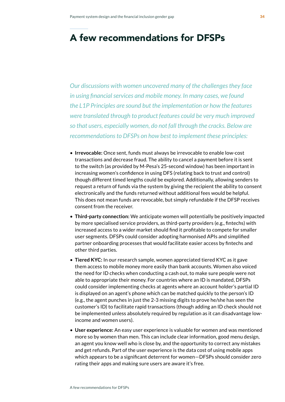# A few recommendations for DFSPs

*Our discussions with women uncovered many of the challenges they face in using financial services and mobile money. In many cases, we found the L1P Principles are sound but the implementation or how the features were translated through to product features could be very much improved so that users, especially women, do not fall through the cracks. Below are recommendations to DFSPs on how best to implement these principles:*

- **Irrevocable:** Once sent, funds must always be irrevocable to enable low-cost transactions and decrease fraud. The ability to cancel a payment before it is sent to the switch (as provided by M-Pesa's 25-second window) has been important in increasing women's confidence in using DFS (relating back to trust and control) though different timed lengths could be explored. Additionally, allowing senders to request a return of funds via the system by giving the recipient the ability to consent electronically and the funds returned without additional fees would be helpful. This does not mean funds are revocable, but simply refundable if the DFSP receives consent from the receiver.
- **Third-party connection:** We anticipate women will potentially be positively impacted by more specialised service providers, as third-party providers (e.g., fintechs) with increased access to a wider market should find it profitable to compete for smaller user segments. DFSPs could consider adopting harmonised APIs and simplified partner onboarding processes that would facilitate easier access by fintechs and other third parties.
- **Tiered KYC:** In our research sample, women appreciated tiered KYC as it gave them access to mobile money more easily than bank accounts. Women also voiced the need for ID checks when conducting a cash out, to make sure people were not able to appropriate their money. For countries where an ID is mandated, DFSPs could consider implementing checks at agents where an account holder's partial ID is displayed on an agent's phone which can be matched quickly to the person's ID (e.g., the agent punches in just the 2-3 missing digits to prove he/she has seen the customer's ID) to facilitate rapid transactions (though adding an ID check should not be implemented unless absolutely required by regulation as it can disadvantage lowincome and women users).
- **User experience:** An easy user experience is valuable for women and was mentioned more so by women than men. This can include clear information, good menu design, an agent you know well who is close by, and the opportunity to correct any mistakes and get refunds. Part of the user experience is the data cost of using mobile apps which appears to be a significant deterrent for women—DFSPs should consider zero rating their apps and making sure users are aware it's free.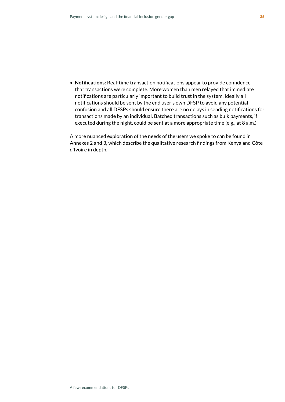• **Notifications:** Real-time transaction notifications appear to provide confidence that transactions were complete. More women than men relayed that immediate notifications are particularly important to build trust in the system. Ideally all notifications should be sent by the end user's own DFSP to avoid any potential confusion and all DFSPs should ensure there are no delays in sending notifications for transactions made by an individual. Batched transactions such as bulk payments, if executed during the night, could be sent at a more appropriate time (e.g., at 8 a.m.).

A more nuanced exploration of the needs of the users we spoke to can be found in Annexes 2 and 3, which describe the qualitative research findings from Kenya and Côte d'Ivoire in depth.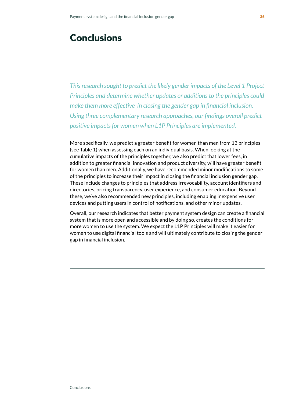# **Conclusions**

*This research sought to predict the likely gender impacts of the Level 1 Project Principles and determine whether updates or additions to the principles could make them more effective in closing the gender gap in financial inclusion. Using three complementary research approaches, our findings overall predict positive impacts for women when L1P Principles are implemented.* 

More specifically, we predict a greater benefit for women than men from 13 principles (see Table 1) when assessing each on an individual basis. When looking at the cumulative impacts of the principles together, we also predict that lower fees, in addition to greater financial innovation and product diversity, will have greater benefit for women than men. Additionally, we have recommended minor modifications to some of the principles to increase their impact in closing the financial inclusion gender gap. These include changes to principles that address irrevocability, account identifiers and directories, pricing transparency, user experience, and consumer education. Beyond these, we've also recommended new principles, including enabling inexpensive user devices and putting users in control of notifications, and other minor updates.

Overall, our research indicates that better payment system design can create a financial system that is more open and accessible and by doing so, creates the conditions for more women to use the system. We expect the L1P Principles will make it easier for women to use digital financial tools and will ultimately contribute to closing the gender gap in financial inclusion.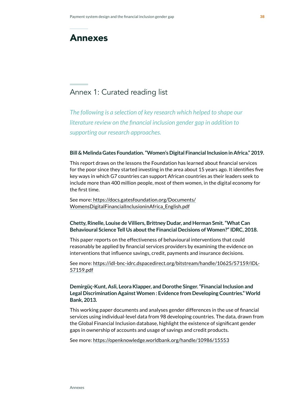# Annexes

## Annex 1: Curated reading list

*The following is a selection of key research which helped to shape our literature review on the financial inclusion gender gap in addition to supporting our research approaches.*

#### **Bill & Melinda Gates Foundation. "Women's Digital Financial Inclusion in Africa." 2019.**

This report draws on the lessons the Foundation has learned about financial services for the poor since they started investing in the area about 15 years ago. It identifies five key ways in which G7 countries can support African countries as their leaders seek to include more than 400 million people, most of them women, in the digital economy for the first time.

See more: [https://docs.gatesfoundation.org/Documents/](https://docs.gatesfoundation.org/Documents/WomensDigitalFinancialInclusioninAfrica_English.pdf) [WomensDigitalFinancialInclusioninAfrica\\_English.pdf](https://docs.gatesfoundation.org/Documents/WomensDigitalFinancialInclusioninAfrica_English.pdf)

### **Chetty, Rinelle, Louise de Villiers, Brittney Dudar, and Herman Smit. "What Can Behavioural Science Tell Us about the Financial Decisions of Women?" IDRC, 2018.**

This paper reports on the effectiveness of behavioural interventions that could reasonably be applied by financial services providers by examining the evidence on interventions that influence savings, credit, payments and insurance decisions.

See more: [https://idl-bnc-idrc.dspacedirect.org/bitstream/handle/10625/57159/IDL-](https://idl-bnc-idrc.dspacedirect.org/bitstream/handle/10625/57159/IDL-57159.pdf)[57159.pdf](https://idl-bnc-idrc.dspacedirect.org/bitstream/handle/10625/57159/IDL-57159.pdf)

**Demirgüç-Kunt, Asli, Leora Klapper, and Dorothe Singer. "Financial Inclusion and Legal Discrimination Against Women : Evidence from Developing Countries." World Bank, 2013.** 

This working paper documents and analyses gender differences in the use of financial services using individual-level data from 98 developing countries. The data, drawn from the Global Financial Inclusion database, highlight the existence of significant gender gaps in ownership of accounts and usage of savings and credit products.

See more: <https://openknowledge.worldbank.org/handle/10986/15553>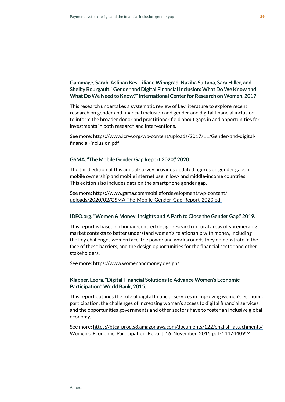### **Gammage, Sarah, Aslihan Kes, Liliane Winograd, Naziha Sultana, Sara Hiller, and Shelby Bourgault. "Gender and Digital Financial Inclusion: What Do We Know and What Do We Need to Know?" International Center for Research on Women, 2017[.](https://www.icrw.org/wp-content/uploads/2017/11/Gender-and-digital-financial-inclusion.pdf)**

This research undertakes a systematic review of key literature to explore recent research on gender and financial inclusion and gender and digital financial inclusion to inform the broader donor and practitioner field about gaps in and opportunities for investments in both research and interventions.

See more: [https://www.icrw.org/wp-content/uploads/2017/11/Gender-and-digital](https://www.icrw.org/wp-content/uploads/2017/11/Gender-and-digital-financial-inclusion.pdf)[financial-inclusion.pdf](https://www.icrw.org/wp-content/uploads/2017/11/Gender-and-digital-financial-inclusion.pdf)

#### **GSMA. "The Mobile Gender Gap Report 2020," 2020.**

The third edition of this annual survey provides updated figures on gender gaps in mobile ownership and mobile internet use in low- and middle-income countries. This edition also includes data on the smartphone gender gap.

See more: [https://www.gsma.com/mobilefordevelopment/wp-content/](https://www.gsma.com/mobilefordevelopment/wp-content/uploads/2020/02/GSMA-The-Mobile-Gender-Gap-Report-2020.pdf) [uploads/2020/02/GSMA-The-Mobile-Gender-Gap-Report-2020.pdf](https://www.gsma.com/mobilefordevelopment/wp-content/uploads/2020/02/GSMA-The-Mobile-Gender-Gap-Report-2020.pdf)

### **IDEO.org. "Women & Money: Insights and A Path to Close the Gender Gap," 2019.**

This report is based on human-centred design research in rural areas of six emerging market contexts to better understand women's relationship with money, including the key challenges women face, the power and workarounds they demonstrate in the face of these barriers, and the design opportunities for the financial sector and other stakeholders.

See more: <https://www.womenandmoney.design/>

### **Klapper, Leora. "Digital Financial Solutions to Advance Women's Economic Participation." World Bank, 2015.**

This report outlines the role of digital financial services in improving women's economic participation, the challenges of increasing women's access to digital financial services, and the opportunities governments and other sectors have to foster an inclusive global economy.

See more: [https://btca-prod.s3.amazonaws.com/documents/122/english\\_attachments/](https://btca-prod.s3.amazonaws.com/documents/122/english_attachments/Women) [Women's\\_Economic\\_Participation\\_Report\\_16\\_November\\_2015.pdf?1447440924](https://btca-prod.s3.amazonaws.com/documents/122/english_attachments/Women)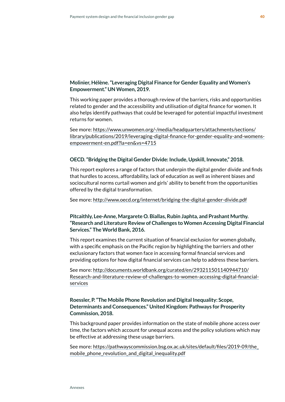### **Molinier, Hélène. "Leveraging Digital Finance for Gender Equality and Women's Empowerment." UN Women, 2019.**

This working paper provides a thorough review of the barriers, risks and opportunities related to gender and the accessibility and utilisation of digital finance for women. It also helps identify pathways that could be leveraged for potential impactful investment returns for women.

See more: [https://www.unwomen.org/-/media/headquarters/attachments/sections/](https://www.unwomen.org/-/media/headquarters/attachments/sections/library/publications/2019/leveraging-digital-finance-for-gender-equality-and-womens-empowerment-en.pdf?la=en&vs=4715) [library/publications/2019/leveraging-digital-finance-for-gender-equality-and-womens](https://www.unwomen.org/-/media/headquarters/attachments/sections/library/publications/2019/leveraging-digital-finance-for-gender-equality-and-womens-empowerment-en.pdf?la=en&vs=4715)[empowerment-en.pdf?la=en&vs=4715](https://www.unwomen.org/-/media/headquarters/attachments/sections/library/publications/2019/leveraging-digital-finance-for-gender-equality-and-womens-empowerment-en.pdf?la=en&vs=4715)

### **OECD. "Bridging the Digital Gender Divide: Include, Upskill, Innovate," 2018.**

This report explores a range of factors that underpin the digital gender divide and finds that hurdles to access, affordability, lack of education as well as inherent biases and sociocultural norms curtail women and girls' ability to benefit from the opportunities offered by the digital transformation.

See more: <http://www.oecd.org/internet/bridging-the-digital-gender-divide.pdf>

### **Pitcaithly, Lee-Anne, Margarete O. Biallas, Rubin Japhta, and Prashant Murthy. "Research and Literature Review of Challenges to Women Accessing Digital Financial Services." The World Bank, 2016.**

This report examines the current situation of financial exclusion for women globally, with a specific emphasis on the Pacific region by highlighting the barriers and other exclusionary factors that women face in accessing formal financial services and providing options for how digital financial services can help to address these barriers.

See more: [http://documents.worldbank.org/curated/en/293211501140944710/](http://documents.worldbank.org/curated/en/293211501140944710/Research-and-literature-review-of-challenges-to-women-accessing-digital-financial-services) [Research-and-literature-review-of-challenges-to-women-accessing-digital-financial](http://documents.worldbank.org/curated/en/293211501140944710/Research-and-literature-review-of-challenges-to-women-accessing-digital-financial-services)[services](http://documents.worldbank.org/curated/en/293211501140944710/Research-and-literature-review-of-challenges-to-women-accessing-digital-financial-services)

### **Roessler, P. "The Mobile Phone Revolution and Digital Inequality: Scope, Determinants and Consequences." United Kingdom: Pathways for Prosperity Commission, 2018.**

This background paper provides information on the state of mobile phone access over time, the factors which account for unequal access and the policy solutions which may be effective at addressing these usage barriers.

See more: [https://pathwayscommission.bsg.ox.ac.uk/sites/default/files/2019-09/the\\_](https://pathwayscommission.bsg.ox.ac.uk/sites/default/files/2019-09/the_mobile_phone_revolution_and_digital_inequality.pdf) [mobile\\_phone\\_revolution\\_and\\_digital\\_inequality.pdf](https://pathwayscommission.bsg.ox.ac.uk/sites/default/files/2019-09/the_mobile_phone_revolution_and_digital_inequality.pdf)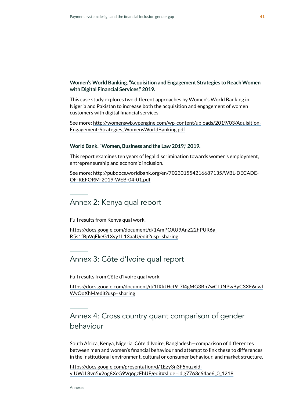### **Women's World Banking. "Acquisition and Engagement Strategies to Reach Women with Digital Financial Services," 2019.**

This case study explores two different approaches by Women's World Banking in Nigeria and Pakistan to increase both the acquisition and engagement of women customers with digital financial services.

See more: [http://womenswb.wpengine.com/wp-content/uploads/2019/03/Aquisition-](http://womenswb.wpengine.com/wp-content/uploads/2019/03/Aquisition-Engagement-Strategies_WomensWorldBanking.pdf)[Engagement-Strategies\\_WomensWorldBanking.pdf](http://womenswb.wpengine.com/wp-content/uploads/2019/03/Aquisition-Engagement-Strategies_WomensWorldBanking.pdf)

#### **World Bank. "Women, Business and the Law 2019," 2019.**

This report examines ten years of legal discrimination towards women's employment, entrepreneurship and economic inclusion.

See more: [http://pubdocs.worldbank.org/en/702301554216687135/WBL-DECADE-](http://pubdocs.worldbank.org/en/702301554216687135/WBL-DECADE-OF-REFORM-2019-WEB-04-01.pdf)[OF-REFORM-2019-WEB-04-01.pdf](http://pubdocs.worldbank.org/en/702301554216687135/WBL-DECADE-OF-REFORM-2019-WEB-04-01.pdf)

### Annex 2: Kenya qual report

Full results from Kenya qual work.

[https://docs.google.com/document/d/1AmPOAU9AnZ22hPUR6a\\_](https://docs.google.com/document/d/1AmPOAU9AnZ22hPUR6a_R5s1fBpVqEkeG1Xyy1L13aaU/edit?usp=sharing) [R5s1fBpVqEkeG1Xyy1L13aaU/edit?usp=sharing](https://docs.google.com/document/d/1AmPOAU9AnZ22hPUR6a_R5s1fBpVqEkeG1Xyy1L13aaU/edit?usp=sharing)

### Annex 3: Côte d'Ivoire qual report

*F*ull results from Côte d'Ivoire qual work.

[https://docs.google.com/document/d/1fXkJHct9\\_7l4gMG3Rn7wCLJNPwByC3XE6qwl](https://docs.google.com/document/d/1fXkJHct9_7l4gMG3Rn7wCLJNPwByC3XE6qwlWvOoXhM/edit?usp=sharing) [WvOoXhM/edit?usp=sharing](https://docs.google.com/document/d/1fXkJHct9_7l4gMG3Rn7wCLJNPwByC3XE6qwlWvOoXhM/edit?usp=sharing)

Annex 4: Cross country quant comparison of gender behaviour

South Africa, Kenya, Nigeria, Côte d'Ivoire, Bangladesh—comparison of differences between men and women's financial behaviour and attempt to link these to differences in the institutional environment, cultural or consumer behaviour, and market structure.

[https://docs.google.com/presentation/d/1Ezy3n3F5nuzxid](https://docs.google.com/presentation/d/1Ezy3n3F5nuzxid-vlUWJL8vn5x2og8XcG9Vq6gzFhUE/edit#slide=id.g7763c64ae6_0_1218)[vlUWJL8vn5x2og8XcG9Vq6gzFhUE/edit#slide=id.g7763c64ae6\\_0\\_1218](https://docs.google.com/presentation/d/1Ezy3n3F5nuzxid-vlUWJL8vn5x2og8XcG9Vq6gzFhUE/edit#slide=id.g7763c64ae6_0_1218)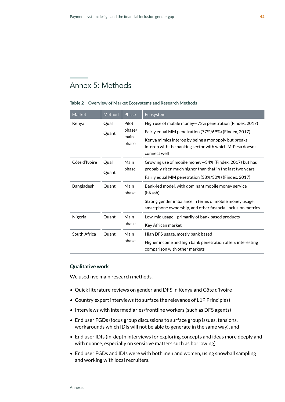## Annex 5: Methods

#### Table 2 **Overview of Market Ecosystems and Research Methods**

| Market        | Method | Phase         | Ecosystem                                                                                                              |
|---------------|--------|---------------|------------------------------------------------------------------------------------------------------------------------|
| Kenya         | Qual   | Pilot         | High use of mobile money-73% penetration (Findex, 2017)                                                                |
|               | Quant  | phase/        | Fairly equal MM penetration (77%/69%) (Findex, 2017)                                                                   |
|               |        | main<br>phase | Kenya mimics interop by being a monopoly but breaks                                                                    |
|               |        |               | interop with the banking sector with which M-Pesa doesn't<br>connect well                                              |
| Côte d'Ivoire | Qual   | Main          | Growing use of mobile money-34% (Findex, 2017) but has                                                                 |
|               | Quant  | phase         | probably risen much higher than that in the last two years                                                             |
|               |        |               | Fairly equal MM penetration (38%/30%) (Findex, 2017)                                                                   |
| Bangladesh    | Quant  | Main<br>phase | Bank-led model, with dominant mobile money service                                                                     |
|               |        |               | (bKash)                                                                                                                |
|               |        |               | Strong gender imbalance in terms of mobile money usage,<br>smartphone ownership, and other financial inclusion metrics |
| Nigeria       | Quant  | Main          | Low-mid usage-primarily of bank based products                                                                         |
|               |        | phase         | Key African market                                                                                                     |
| South Africa  | Quant  | Main          | High DFS usage, mostly bank based                                                                                      |
|               |        | phase         | Higher income and high bank penetration offers interesting<br>comparison with other markets                            |

#### **Qualitative work**

We used five main research methods.

- Quick literature reviews on gender and DFS in Kenya and Côte d'Ivoire
- Country expert interviews (to surface the relevance of L1P Principles)
- Interviews with intermediaries/frontline workers (such as DFS agents)
- End user FGDs (focus group discussions to surface group issues, tensions, workarounds which IDIs will not be able to generate in the same way), and
- End user IDIs (in-depth interviews for exploring concepts and ideas more deeply and with nuance, especially on sensitive matters such as borrowing)
- End user FGDs and IDIs were with both men and women, using snowball sampling and working with local recruiters.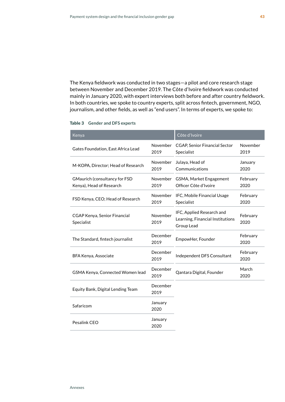The Kenya fieldwork was conducted in two stages—a pilot and core research stage between November and December 2019. The Côte d'Ivoire fieldwork was conducted mainly in January 2020, with expert interviews both before and after country fieldwork. In both countries, we spoke to country experts, split across fintech, government, NGO, journalism, and other fields, as well as "end users". In terms of experts, we spoke to:

#### Table 3 **Gender and DFS experts**

| Kenya                                                            |                  | Côte d'Ivoire                                                               |                  |
|------------------------------------------------------------------|------------------|-----------------------------------------------------------------------------|------------------|
| Gates Foundation, East Africa Lead                               | November<br>2019 | <b>CGAP, Senior Financial Sector</b><br>Specialist                          | November<br>2019 |
| M-KOPA, Director; Head of Research                               | November<br>2019 | Julaya, Head of<br>Communications                                           | January<br>2020  |
| <b>GMaurich (consultancy for FSD</b><br>Kenya), Head of Research | November<br>2019 | GSMA, Market Engagement<br>Officer Côte d'Ivoire                            | February<br>2020 |
| FSD Kenya, CEO; Head of Research                                 | November<br>2019 | IFC, Mobile Financial Usage<br>Specialist                                   | February<br>2020 |
| <b>CGAP Kenya, Senior Financial</b><br>Specialist                | November<br>2019 | IFC, Applied Research and<br>Learning, Financial Institutions<br>Group Lead | February<br>2020 |
| The Standard, fintech journalist                                 | December<br>2019 | EmpowHer, Founder                                                           | February<br>2020 |
| BFA Kenya, Associate                                             | December<br>2019 | Independent DFS Consultant                                                  | February<br>2020 |
| GSMA Kenya, Connected Women lead                                 | December<br>2019 | Qantara Digital, Founder                                                    | March<br>2020    |
| Equity Bank, Digital Lending Team                                | December<br>2019 |                                                                             |                  |
| Safaricom                                                        | January<br>2020  |                                                                             |                  |
| Pesalink CEO                                                     | January<br>2020  |                                                                             |                  |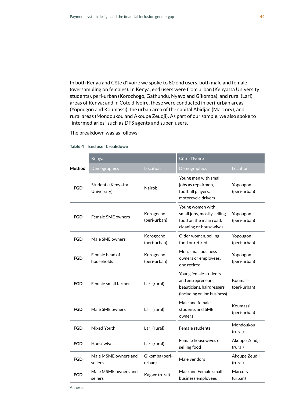In both Kenya and Côte d'Ivoire we spoke to 80 end users, both male and female (oversampling on females). In Kenya, end users were from urban (Kenyatta University students), peri-urban (Korochogo, Gathundu, Nyayo and Gikomba), and rural (Lari) areas of Kenya; and in Côte d'Ivoire, these were conducted in peri-urban areas (Yopougon and Koumassi), the urban area of the capital Abidjan (Marcory), and rural areas (Mondoukou and Akoupe Zeudji). As part of our sample, we also spoke to "intermediaries" such as DFS agents and super-users.

The breakdown was as follows:

|            | Kenya                             |                           | Côte d'Ivoire                                                                                           |                          |  |
|------------|-----------------------------------|---------------------------|---------------------------------------------------------------------------------------------------------|--------------------------|--|
| Method     | Demographics                      | Location                  | Demographics                                                                                            | Location                 |  |
| <b>FGD</b> | Students (Kenyatta<br>University) | Nairobi                   | Young men with small<br>jobs as repairmen,<br>football players,<br>motorcycle drivers                   | Yopougon<br>(peri-urban) |  |
| <b>FGD</b> | Female SME owners                 | Korogocho<br>(peri-urban) | Young women with<br>small jobs, mostly selling<br>food on the main road,<br>cleaning or housewives      | Yopougon<br>(peri-urban) |  |
| <b>FGD</b> | Male SME owners                   | Korogocho<br>(peri-urban) | Older women, selling<br>food or retired                                                                 | Yopougon<br>(peri-urban) |  |
| <b>FGD</b> | Female head of<br>households      | Korogocho<br>(peri-urban) | Men, small business<br>owners or employees,<br>one retired                                              | Yopougon<br>(peri-urban) |  |
| <b>FGD</b> | Female small farmer               | Lari (rural)              | Young female students<br>and entrepreneurs,<br>beauticians, hairdressers<br>(including online business) | Koumassi<br>(peri-urban) |  |
| <b>FGD</b> | Male SME owners                   | Lari (rural)              | Male and female<br>students and SME<br>owners                                                           | Koumassi<br>(peri-urban) |  |
| <b>FGD</b> | Mixed Youth                       | Lari (rural)              | Female students                                                                                         | Mondoukou<br>(rural)     |  |
| <b>FGD</b> | <b>Housewives</b><br>Lari (rural) |                           | Female housewives or<br>selling food                                                                    | Akoupe Zeudji<br>(rural) |  |
| <b>FGD</b> | Male MSMF owners and<br>sellers   | Gikomba (peri-<br>urban)  | Male vendors                                                                                            | Akoupe Zeudji<br>(rural) |  |
| <b>FGD</b> | Male MSME owners and<br>sellers   | Kagwe (rural)             | Male and Female small<br>business employees                                                             | Marcory<br>(urban)       |  |
|            |                                   |                           |                                                                                                         |                          |  |

#### Table 4 **End user breakdown**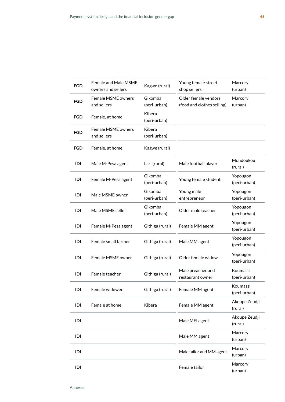| <b>FGD</b> | <b>Female and Male MSME</b><br>owners and sellers | Kagwe (rural)           | Young female street<br>shop sellers                | Marcory<br>(urban)       |
|------------|---------------------------------------------------|-------------------------|----------------------------------------------------|--------------------------|
| <b>FGD</b> | Female MSME owners<br>and sellers                 | Gikomba<br>(peri-urban) | Older female vendors<br>(food and clothes selling) | Marcory<br>(urban)       |
| FGD        | Female, at home                                   | Kibera<br>(peri-urban)  |                                                    |                          |
| <b>FGD</b> | <b>Female MSME owners</b><br>and sellers          | Kibera<br>(peri-urban)  |                                                    |                          |
| FGD        | Female, at home                                   | Kagwe (rural)           |                                                    |                          |
| IDI        | Male M-Pesa agent                                 | Lari (rural)            | Male football player                               | Mondoukou<br>(rural)     |
| IDI        | Female M-Pesa agent                               | Gikomba<br>(peri-urban) | Young female student                               | Yopougon<br>(peri-urban) |
| IDI        | Male MSME owner                                   | Gikomba<br>(peri-urban) | Young male<br>entrepreneur                         | Yopougon<br>(peri-urban) |
| IDI        | Male MSME seller                                  | Gikomba<br>(peri-urban) | Older male teacher                                 | Yopougon<br>(peri-urban) |
| IDI        | Female M-Pesa agent                               | Githiga (rural)         | Female MM agent                                    | Yopougon<br>(peri-urban) |
| IDI        | Female small farmer                               | Githiga (rural)         | Male MM agent                                      | Yopougon<br>(peri-urban) |
| IDI        | Female MSME owner                                 | Githiga (rural)         | Older female widow                                 | Yopougon<br>(peri-urban) |
| IDI        | Female teacher                                    | Githiga (rural)         | Male preacher and<br>restaurant owner              | Koumassi<br>(peri-urban) |
| IDI        | Female widower                                    | Githiga (rural)         | Female MM agent                                    | Koumassi<br>(peri-urban) |
| IDI        | Female at home                                    | Kibera                  | Female MM agent                                    | Akoupe Zeudji<br>(rural) |
| IDI        |                                                   |                         | Male MFI agent                                     | Akoupe Zeudji<br>(rural) |
| IDI        |                                                   |                         | Male MM agent                                      | Marcory<br>(urban)       |
| IDI        |                                                   |                         | Male tailor and MM agent                           | Marcory<br>(urban)       |
| IDI        |                                                   |                         | Female tailor                                      | Marcory<br>(urban)       |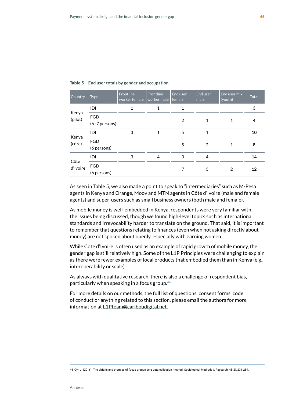| <b>Country</b>   | <b>Type</b>                   | Frontline<br>worker female | Frontline<br>worker male | End user<br>female | End user<br>male | End user mix<br>(youth) | <b>Total</b> |
|------------------|-------------------------------|----------------------------|--------------------------|--------------------|------------------|-------------------------|--------------|
| Kenya<br>(pilot) | IDI                           |                            |                          | 1                  |                  |                         | 3            |
|                  | <b>FGD</b><br>$(6-7$ persons) |                            |                          | $\mathfrak{D}$     | 1                |                         | 4            |
| Kenya<br>(core)  | IDI                           | 3                          | 1                        | 5                  | 1                |                         | 10           |
|                  | <b>FGD</b><br>(6 persons)     |                            |                          | 5                  | $\mathfrak{D}$   |                         | 8            |
| Côte<br>d'Ivoire | IDI                           | 3                          | 4                        | 3                  | 4                |                         | 14           |
|                  | <b>FGD</b><br>(6 persons)     |                            |                          | 7                  | 3                | 2                       | 12           |

#### Table 5 **End user totals by gender and occupation**

As seen in Table 5, we also made a point to speak to "intermediaries" such as M-Pesa agents in Kenya and Orange, Moov and MTN agents in Côte d'Ivoire (male and female agents) and super-users such as small business owners (both male and female).

As mobile money is well-embedded in Kenya, respondents were very familiar with the issues being discussed, though we found high-level topics such as international standards and irrevocability harder to translate on the ground. That said, it is important to remember that questions relating to finances (even when not asking directly about money) are not spoken about openly, especially with earning women.

While Côte d'Ivoire is often used as an example of rapid growth of mobile money, the gender gap is still relatively high. Some of the L1P Principles were challenging to explain as there were fewer examples of local products that embodied them than in Kenya (e.g., interoperability or scale).

As always with qualitative research, there is also a challenge of respondent bias, particularly when speaking in a focus group.**<sup>46</sup>**

For more details on our methods, the full list of questions, consent forms, code of conduct or anything related to this section, please email the authors for more information at [L1Pteam@cariboudigital.net.](mailto:L1Pteam%40cariboudigital.net?subject=)

<sup>46</sup> Cyr, J. (2016). The pitfalls and promise of focus groups as a data collection method. Sociological Methods & Research, 45(2), 231-259.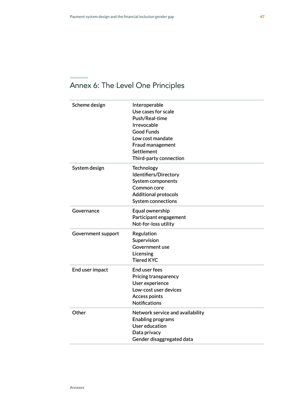### Scheme design interoperable Use cases for scale Push/Real-time Irrevocable Good Funds Low cost mandate Fraud management **Settlement** Third-party connection System design Technology [Identifiers/](https://docs.google.com/document/d/1AmPOAU9AnZ22hPUR6a_R5s1fBpVqEkeG1Xyy1L13aaU/edit#heading=h.213jm68ado1h)Directory System components Common core Additional protocols System connections Governance Equal ownership Participant engagement Not-for-loss utility Government support Regulation Supervision Government use Licensing Tiered KYC End user impact End user fees Pricing transparency User experience Low-cost user devices Access points Notifications Other Network service and availability Enabling programs User education Data privacy Gender disaggregated data

## Annex 6: The Level One Principles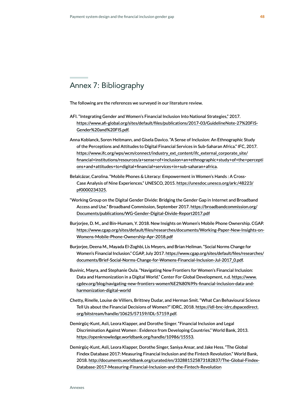## Annex 7: Bibliography

The following are the references we surveyed in our literature review.

- AFI. "Integrating Gender and Women's Financial Inclusion Into National Strategies," 2017. [https://www.afi-global.org/sites/default/files/publications/2017-03/GuidelineNote-27%20FIS-](https://www.afi-global.org/sites/default/files/publications/2017-03/GuidelineNote-27%20FIS-Gender%20and%20FIS.pdf)[Gender%20and%20FIS.pdf](https://www.afi-global.org/sites/default/files/publications/2017-03/GuidelineNote-27%20FIS-Gender%20and%20FIS.pdf).
- Anna Koblanck, Soren Heitmann, and Gisela Davico. "A Sense of Inclusion: An Ethnographic Study of the Perceptions and Attitudes to Digital Financial Services in Sub-Saharan Africa." IFC, 2017[.](https://www.ifc.org/wps/wcm/connect/industry_ext_content/ifc_external_corporate_site/financial+institutions/resources/a+sense+of+inclusion+an+ethnographic+study+of+the+perceptions+and+attitudes+to+digital+financial+services+in+sub-saharan+africa)  [https://www.ifc.org/wps/wcm/connect/industry\\_ext\\_content/ifc\\_external\\_corporate\\_site/](https://www.ifc.org/wps/wcm/connect/industry_ext_content/ifc_external_corporate_site/financial+institutions/resources/a+sense+of+inclusion+an+ethnographic+study+of+the+perceptions+and+attitudes+to+digital+financial+services+in+sub-saharan+africa) [financial+institutions/resources/a+sense+of+inclusion+an+ethnographic+study+of+the+percepti](https://www.ifc.org/wps/wcm/connect/industry_ext_content/ifc_external_corporate_site/financial+institutions/resources/a+sense+of+inclusion+an+ethnographic+study+of+the+perceptions+and+attitudes+to+digital+financial+services+in+sub-saharan+africa) [ons+and+attitudes+to+digital+financial+services+in+sub-saharan+africa](https://www.ifc.org/wps/wcm/connect/industry_ext_content/ifc_external_corporate_site/financial+institutions/resources/a+sense+of+inclusion+an+ethnographic+study+of+the+perceptions+and+attitudes+to+digital+financial+services+in+sub-saharan+africa).
- Belalcázar, Carolina. "Mobile Phones & Literacy: Empowerment in Women's Hands : A Cross-Case Analysis of Nine Experiences." UNESCO, 2015. [https://unesdoc.unesco.org/ark:/48223/](https://unesdoc.unesco.org/ark:/48223/pf0000234325) [pf0000234325](https://unesdoc.unesco.org/ark:/48223/pf0000234325).
- "Working Group on the Digital Gender Divide: Bridging the Gender Gap in Internet and Broadband Access and Use." Broadband Commission, September 2017. [https://broadbandcommission.org/](https://broadbandcommission.org/Documents/publications/WG-Gender-Digital-Divide-Report2017.pdf) [Documents/publications/WG-Gender-Digital-Divide-Report2017.pdf](https://broadbandcommission.org/Documents/publications/WG-Gender-Digital-Divide-Report2017.pdf)
- Burjorjee, D. M., and Bin-Humam, Y. 2018. New Insights on Women's Mobile Phone Ownership. CGAP. [https://www.cgap.org/sites/default/files/researches/documents/Working-Paper-New-Insights-on-](https://www.cgap.org/sites/default/files/researches/documents/Working-Paper-New-Insights-on-Womens-Mobile-Phone-Ownership-Apr-2018.pdf)[Womens-Mobile-Phone-Ownership-Apr-2018.pdf](https://www.cgap.org/sites/default/files/researches/documents/Working-Paper-New-Insights-on-Womens-Mobile-Phone-Ownership-Apr-2018.pdf)
- Burjorjee, Deena M., Mayada El-Zoghbi, Lis Meyers, and Brian Heilman. "Social Norms Change for Women's Financial Inclusion." CGAP, July 2017[. https://www.cgap.org/sites/default/files/researches/](https://www.cgap.org/sites/default/files/researches/documents/Brief-Social-Norms-Change-for-Womens-Financial-Inclusion-Jul-2017_0.pdf) [documents/Brief-Social-Norms-Change-for-Womens-Financial-Inclusion-Jul-2017\\_0.pdf](https://www.cgap.org/sites/default/files/researches/documents/Brief-Social-Norms-Change-for-Womens-Financial-Inclusion-Jul-2017_0.pdf).
- Buvinic, Mayra, and Stephanie Oula. "Navigating New Frontiers for Women's Financial Inclusion: Data and Harmonization in a Digital World." Center For Global Development, n.d. [https://www.](https://www.cgdev.org/blog/navigating-new-frontiers-women%E2%80%99s-financial-inclusion-data-and-harmonization-digital-world) [cgdev.org/blog/navigating-new-frontiers-women%E2%80%99s-financial-inclusion-data-and](https://www.cgdev.org/blog/navigating-new-frontiers-women%E2%80%99s-financial-inclusion-data-and-harmonization-digital-world)[harmonization-digital-world](https://www.cgdev.org/blog/navigating-new-frontiers-women%E2%80%99s-financial-inclusion-data-and-harmonization-digital-world)
- Chetty, Rinelle, Louise de Villiers, Brittney Dudar, and Herman Smit. "What Can Behavioural Science Tell Us about the Financial Decisions of Women?" IDRC, 2018. [https://idl-bnc-idrc.dspacedirect.](https://idl-bnc-idrc.dspacedirect.org/bitstream/handle/10625/57159/IDL-57159.pdf) [org/bitstream/handle/10625/57159/IDL-57159.pdf](https://idl-bnc-idrc.dspacedirect.org/bitstream/handle/10625/57159/IDL-57159.pdf).
- Demirgüç-Kunt, Asli, Leora Klapper, and Dorothe Singer. "Financial Inclusion and Legal Discrimination Against Women : Evidence from Developing Countries." World Bank, 2013[.](https://openknowledge.worldbank.org/handle/10986/15553)  <https://openknowledge.worldbank.org/handle/10986/15553>.
- Demirgüç-Kunt, Asli, Leora Klapper, Dorothe Singer, Saniya Ansar, and Jake Hess. "The Global Findex Database 2017: Measuring Financial Inclusion and the Fintech Revolution." World Bank, 2018. [http://documents.worldbank.org/curated/en/332881525873182837/The-Global-Findex-](http://documents.worldbank.org/curated/en/332881525873182837/The-Global-Findex-Database-2017-Measuring-Financial-Inclusion-and-the-Fintech-Revolution)[Database-2017-Measuring-Financial-Inclusion-and-the-Fintech-Revolution](http://documents.worldbank.org/curated/en/332881525873182837/The-Global-Findex-Database-2017-Measuring-Financial-Inclusion-and-the-Fintech-Revolution)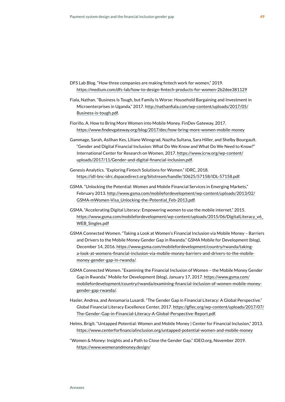- DFS Lab Blog. "How three companies are making fintech work for women," 2019[.](https://medium.com/dfs-lab/how-to-design-fintech-products-for-women-2b2dee381129)  <https://medium.com/dfs-lab/how-to-design-fintech-products-for-women-2b2dee381129>
- Fiala, Nathan. "Business Is Tough, but Family Is Worse: Household Bargaining and Investment in Microenterprises in Uganda," 2017. h[ttp://nathanfiala.com/wp-content/uploads/2017/05/](http://nathanfiala.com/wp-content/uploads/2017/05/Business-is-tough.pdf) [Business-is-tough.pdf](http://nathanfiala.com/wp-content/uploads/2017/05/Business-is-tough.pdf).
- Fiorillo, A. How to Bring More Women into Mobile Money. FinDev Gateway, 2017. <https://www.findevgateway.org/blog/2017/dec/how-bring-more-women-mobile-money>
- Gammage, Sarah, Aslihan Kes, Liliane Winograd, Naziha Sultana, Sara Hiller, and Shelby Bourgault. "Gender and Digital Financial Inclusion: What Do We Know and What Do We Need to Know?" International Center for Research on Women, 2017. [https://www.icrw.org/wp-content/](https://www.icrw.org/wp-content/uploads/2017/11/Gender-and-digital-financial-inclusion.pdf) [uploads/2017/11/Gender-and-digital-financial-inclusion.pdf](https://www.icrw.org/wp-content/uploads/2017/11/Gender-and-digital-financial-inclusion.pdf).
- Genesis Analytics. "Exploring Fintech Solutions for Women." IDRC, 2018. <https://idl-bnc-idrc.dspacedirect.org/bitstream/handle/10625/57158/IDL-57158.pdf>.
- GSMA. "Unlocking the Potential: Women and Mobile Financial Services in Emerging Markets," February 2013. [http://www.gsma.com/mobilefordevelopment/wp-content/uploads/2013/02/](http://www.gsma.com/mobilefordevelopment/wp-content/uploads/2013/02/GSMA-mWomen-Visa_Unlocking-the-Potential_Feb-2013.pdf) [GSMA-mWomen-Visa\\_Unlocking-the-Potential\\_Feb-2013.pdf](http://www.gsma.com/mobilefordevelopment/wp-content/uploads/2013/02/GSMA-mWomen-Visa_Unlocking-the-Potential_Feb-2013.pdf).
- GSMA. "Accelerating Digital Literacy: Empowering women to use the mobile internet," 2015. [https://www.gsma.com/mobilefordevelopment/wp-content/uploads/2015/06/DigitalLiteracy\\_v6\\_](https://www.gsma.com/mobilefordevelopment/wp-content/uploads/2015/06/DigitalLiteracy_v6_WEB_Singles.pdf) [WEB\\_Singles.pdf](https://www.gsma.com/mobilefordevelopment/wp-content/uploads/2015/06/DigitalLiteracy_v6_WEB_Singles.pdf)
- GSMA Connected Women. "Taking a Look at Women's Financial Inclusion via Mobile Money Barriers and Drivers to the Mobile Money Gender Gap in Rwanda." GSMA Mobile for Development (blog), December 14, 2016. [https://www.gsma.com/mobilefordevelopment/country/rwanda/taking](https://www.gsma.com/mobilefordevelopment/country/rwanda/taking-a-look-at-womens-financial-inclusion-via-mobile-money-barriers-and-drivers-to-the-mobile-money-gender-gap-in-rwanda/)[a-look-at-womens-financial-inclusion-via-mobile-money-barriers-and-drivers-to-the-mobile](https://www.gsma.com/mobilefordevelopment/country/rwanda/taking-a-look-at-womens-financial-inclusion-via-mobile-money-barriers-and-drivers-to-the-mobile-money-gender-gap-in-rwanda/)[money-gender-gap-in-rwanda/](https://www.gsma.com/mobilefordevelopment/country/rwanda/taking-a-look-at-womens-financial-inclusion-via-mobile-money-barriers-and-drivers-to-the-mobile-money-gender-gap-in-rwanda/).
- GSMA Connected Women. "Examining the Financial Inclusion of Women the Mobile Money Gender Gap in Rwanda." Mobile for Development (blog), January 17, 2017[. https://www.gsma.com/](https://www.gsma.com/mobilefordevelopment/country/rwanda/examining-financial-inclusion-of-women-mobile-money-gender-gap-rwanda/) [mobilefordevelopment/country/rwanda/examining-financial-inclusion-of-women-mobile-money](https://www.gsma.com/mobilefordevelopment/country/rwanda/examining-financial-inclusion-of-women-mobile-money-gender-gap-rwanda/)[gender-gap-rwanda/](https://www.gsma.com/mobilefordevelopment/country/rwanda/examining-financial-inclusion-of-women-mobile-money-gender-gap-rwanda/).
- Hasler, Andrea, and Annamaria Lusardi. "The Gender Gap in Financial Literacy: A Global Perspective." Global Financial Literacy Excellence Center, 2017. [https://gflec.org/wp-content/uploads/2017/07/](https://gflec.org/wp-content/uploads/2017/07/The-Gender-Gap-in-Financial-Literacy-A-Global-Perspective-Report.pdf) [The-Gender-Gap-in-Financial-Literacy-A-Global-Perspective-Report.pdf](https://gflec.org/wp-content/uploads/2017/07/The-Gender-Gap-in-Financial-Literacy-A-Global-Perspective-Report.pdf).
- Helms, Brigit. "Untapped Potential: Women and Mobile Money | Center for Financial Inclusion," 2013. <https://www.centerforfinancialinclusion.org/untapped-potential-women-and-mobile-money>
- "Women & Money: Insights and a Path to Close the Gender Gap." IDEO.org, November 2019. <https://www.womenandmoney.design/>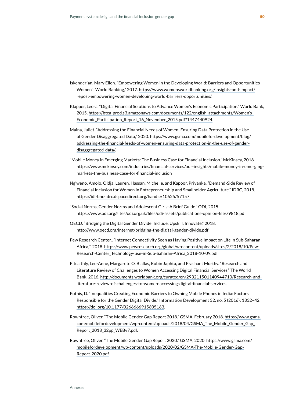- Iskenderian, Mary Ellen. "Empowering Women in the Developing World: Barriers and Opportunities— Women's World Banking," 2017. [https://www.womensworldbanking.org/insights-and-impact/](https://www.womensworldbanking.org/insights-and-impact/repost-empowering-women-developing-world-barriers-opportunities/) [repost-empowering-women-developing-world-barriers-opportunities/](https://www.womensworldbanking.org/insights-and-impact/repost-empowering-women-developing-world-barriers-opportunities/).
- Klapper, Leora. "Digital Financial Solutions to Advance Women's Economic Participation." World Bank, 2015. [https://btca-prod.s3.amazonaws.com/documents/122/english\\_attachments/Women's\\_](https://btca-prod.s3.amazonaws.com/documents/122/english_attachments/Women) [Economic\\_Participation\\_Report\\_16\\_November\\_2015.pdf?1447440924](https://btca-prod.s3.amazonaws.com/documents/122/english_attachments/Women).
- Maina, Juliet. "Addressing the Financial Needs of Women: Ensuring Data Protection in the Use of Gender Disaggregated Data," 2020. https://www.gsma.com/mobilefordevelopment/blog/ addressing-the-financial-feeds-of-women-ensuring-data-protection-in-the-use-of-genderdisaggregated-data/.
- "Mobile Money in Emerging Markets: The Business Case for Financial Inclusion." McKinsey, 2018. [https://www.mckinsey.com/industries/financial-services/our-insights/mobile-money-in-emerging](https://www.mckinsey.com/industries/financial-services/our-insights/mobile-money-in-emerging-markets-the-business-case-for-financial-inclusion)[markets-the-business-case-for-financial-inclusion](https://www.mckinsey.com/industries/financial-services/our-insights/mobile-money-in-emerging-markets-the-business-case-for-financial-inclusion)
- Ng'weno, Amolo, Oldja, Lauren, Hassan, Michelle, and Kapoor, Priyanka. "Demand-Side Review of Financial Inclusion for Women in Entrepreneurship and Smallholder Agriculture." IDRC, 2018. h[ttps://idl-bnc-idrc.dspacedirect.org/handle/10625/57157](https://idl-bnc-idrc.dspacedirect.org/handle/10625/57157).
- "Social Norms, Gender Norms and Adolescent Girls: A Brief Guide." ODI, 2015. <https://www.odi.org/sites/odi.org.uk/files/odi-assets/publications-opinion-files/9818.pdf>
- OECD. "Bridging the Digital Gender Divide: Include, Upskill, Innovate," 2018. <http://www.oecd.org/internet/bridging-the-digital-gender-divide.pdf>
- Pew Research Center.. "Internet Connectivity Seen as Having Positive Impact on Life in Sub-Saharan Africa,'" 2018. [https://www.pewresearch.org/global/wp-content/uploads/sites/2/2018/10/Pew-](https://www.pewresearch.org/global/wp-content/uploads/sites/2/2018/10/Pew-Research-Center_Technology-use-in-Sub-Saharan-Africa_2018-10-09.pdf)[Research-Center\\_Technology-use-in-Sub-Saharan-Africa\\_2018-10-09.pdf](https://www.pewresearch.org/global/wp-content/uploads/sites/2/2018/10/Pew-Research-Center_Technology-use-in-Sub-Saharan-Africa_2018-10-09.pdf)
- Pitcaithly, Lee-Anne, Margarete O. Biallas, Rubin Japhta, and Prashant Murthy. "Research and Literature Review of Challenges to Women Accessing Digital Financial Services." The World Bank, 2016. [http://documents.worldbank.org/curated/en/293211501140944710/Research-and](http://documents.worldbank.org/curated/en/293211501140944710/Research-and-literature-review-of-challenges-to-women-accessing-digital-financial-services)[literature-review-of-challenges-to-women-accessing-digital-financial-services](http://documents.worldbank.org/curated/en/293211501140944710/Research-and-literature-review-of-challenges-to-women-accessing-digital-financial-services).
- Potnis, D. "Inequalities Creating Economic Barriers to Owning Mobile Phones in India: Factors Responsible for the Gender Digital Divide." Information Development 32, no. 5 (2016): 1332–42[.](https://doi.org/10.1177/0266666915605163)  <https://doi.org/10.1177/0266666915605163>.
- Rowntree, Oliver. "The Mobile Gender Gap Report 2018." GSMA, February 2018. [https://www.gsma.](https://www.gsma.com/mobilefordevelopment/wp-content/uploads/2018/04/GSMA_The_Mobile_Gender_Gap_Report_2018_32pp_WEBv7.pdf) [com/mobilefordevelopment/wp-content/uploads/2018/04/GSMA\\_The\\_Mobile\\_Gender\\_Gap\\_](https://www.gsma.com/mobilefordevelopment/wp-content/uploads/2018/04/GSMA_The_Mobile_Gender_Gap_Report_2018_32pp_WEBv7.pdf) [Report\\_2018\\_32pp\\_WEBv7.pdf](https://www.gsma.com/mobilefordevelopment/wp-content/uploads/2018/04/GSMA_The_Mobile_Gender_Gap_Report_2018_32pp_WEBv7.pdf).
- Rowntree, Oliver. "The Mobile Gender Gap Report 2020." GSMA, 2020. [https://www.gsma.com/](https://www.gsma.com/mobilefordevelopment/wp-content/uploads/2020/02/GSMA-The-Mobile-Gender-Gap-Report-2020.pdf) [mobilefordevelopment/wp-content/uploads/2020/02/GSMA-The-Mobile-Gender-Gap-](https://www.gsma.com/mobilefordevelopment/wp-content/uploads/2020/02/GSMA-The-Mobile-Gender-Gap-Report-2020.pdf)[Report-2020.pdf](https://www.gsma.com/mobilefordevelopment/wp-content/uploads/2020/02/GSMA-The-Mobile-Gender-Gap-Report-2020.pdf).